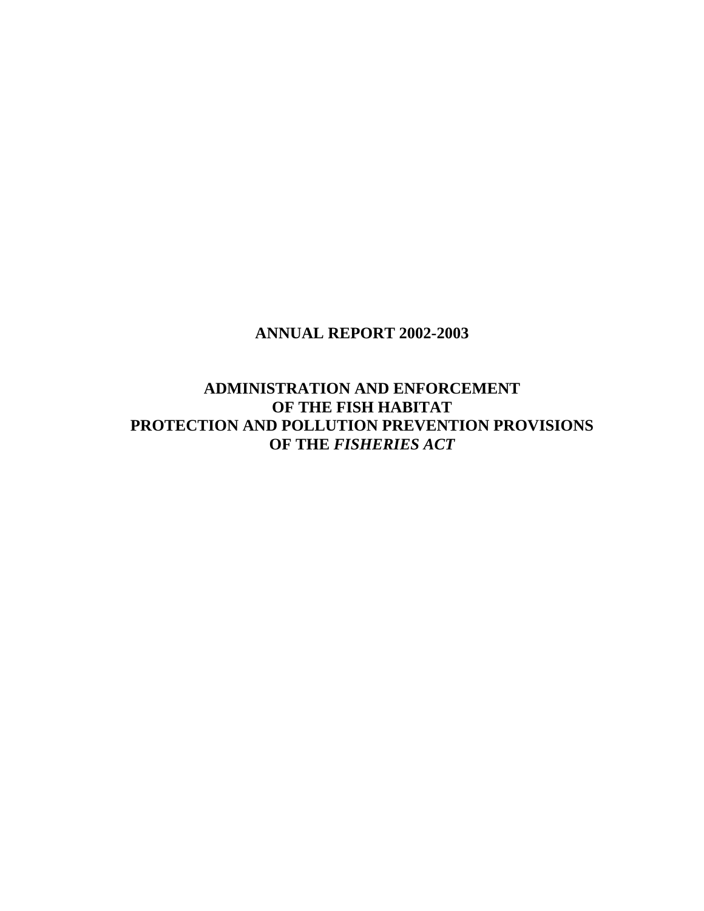## **ANNUAL REPORT 2002-2003**

**ADMINISTRATION AND ENFORCEMENT OF THE FISH HABITAT PROTECTION AND POLLUTION PREVENTION PROVISIONS OF THE** *FISHERIES ACT*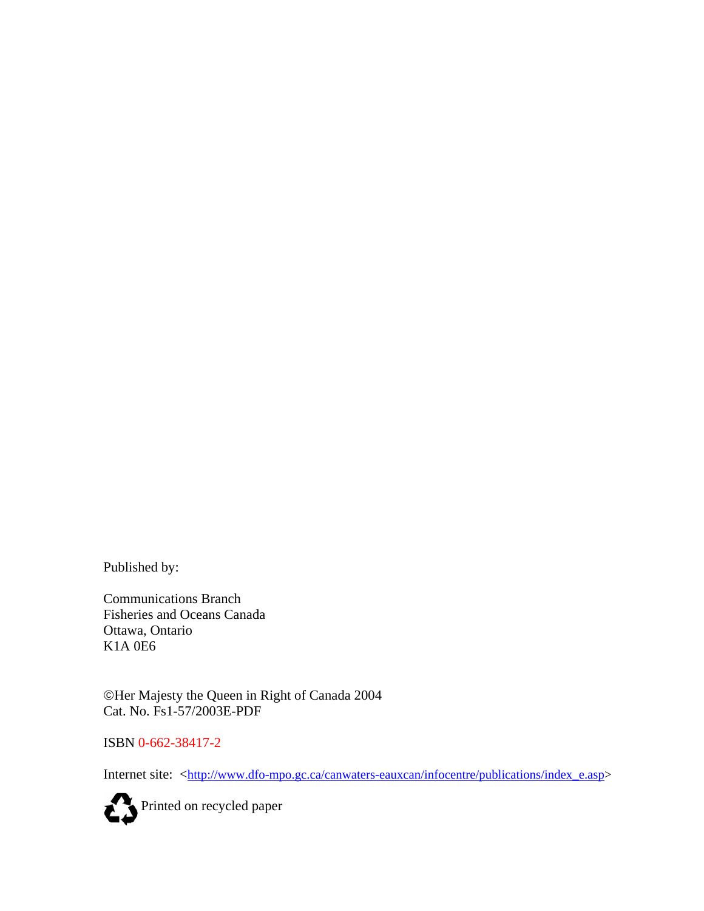Published by:

Communications Branch Fisheries and Oceans Canada Ottawa, Ontario K1A 0E6

©Her Majesty the Queen in Right of Canada 2004 Cat. No. Fs1-57/2003E-PDF

ISBN 0-662-38417-2

Internet site: [<http://www.dfo-mpo.gc.ca/canwaters-eauxcan/infocentre/publications/index\\_e.asp>](http://www.dfo-mpo.gc.ca/canwaters-eauxcan/infocentre/publications/index_e.asp)

Printed on recycled paper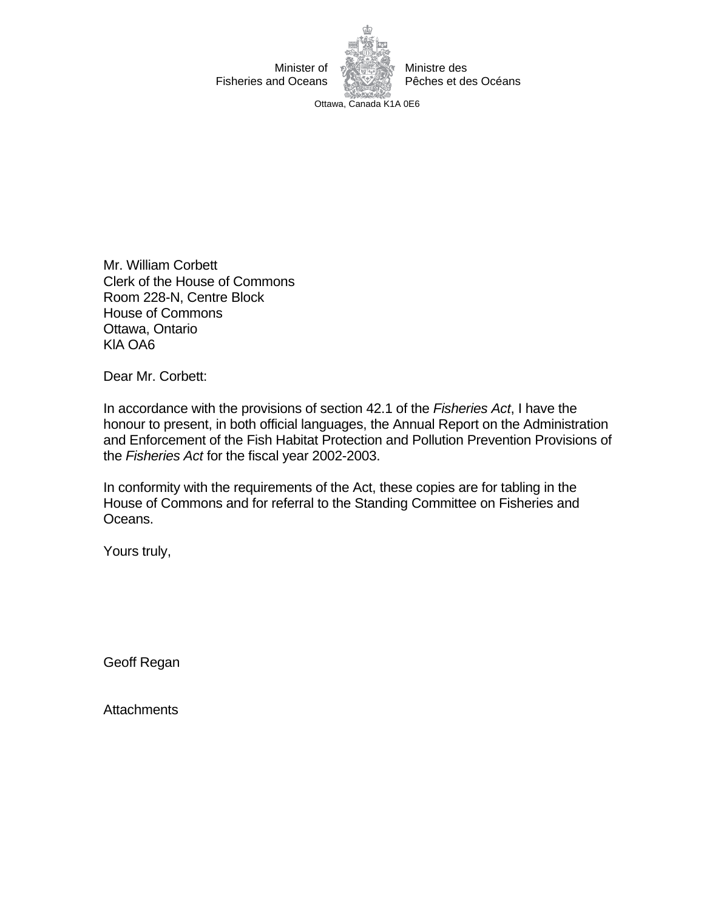

Ottawa, Canada K1A 0E6

Mr. William Corbett Clerk of the House of Commons Room 228-N, Centre Block House of Commons Ottawa, Ontario KlA OA6

Dear Mr. Corbett:

In accordance with the provisions of section 42.1 of the *Fisheries Act*, I have the honour to present, in both official languages, the Annual Report on the Administration and Enforcement of the Fish Habitat Protection and Pollution Prevention Provisions of the *Fisheries Act* for the fiscal year 2002-2003.

In conformity with the requirements of the Act, these copies are for tabling in the House of Commons and for referral to the Standing Committee on Fisheries and Oceans.

Yours truly,

Geoff Regan

**Attachments**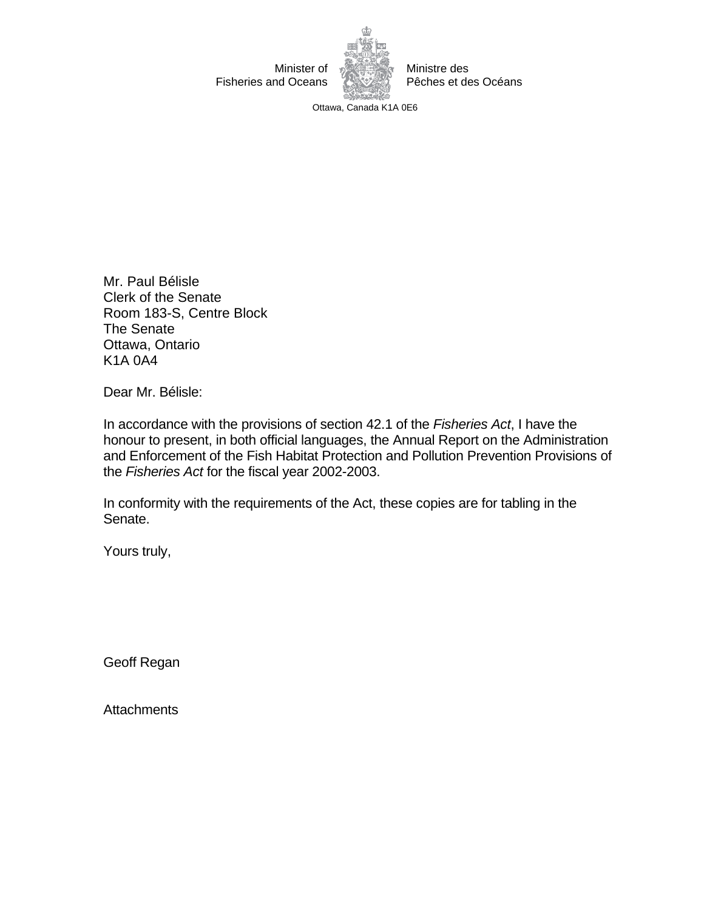

Ministre des Pêches et des Océans

Ottawa, Canada K1A 0E6

Mr. Paul Bélisle Clerk of the Senate Room 183-S, Centre Block The Senate Ottawa, Ontario K1A 0A4

Dear Mr. Bélisle:

In accordance with the provisions of section 42.1 of the *Fisheries Act*, I have the honour to present, in both official languages, the Annual Report on the Administration and Enforcement of the Fish Habitat Protection and Pollution Prevention Provisions of the *Fisheries Act* for the fiscal year 2002-2003.

In conformity with the requirements of the Act, these copies are for tabling in the Senate.

Yours truly,

Geoff Regan

**Attachments**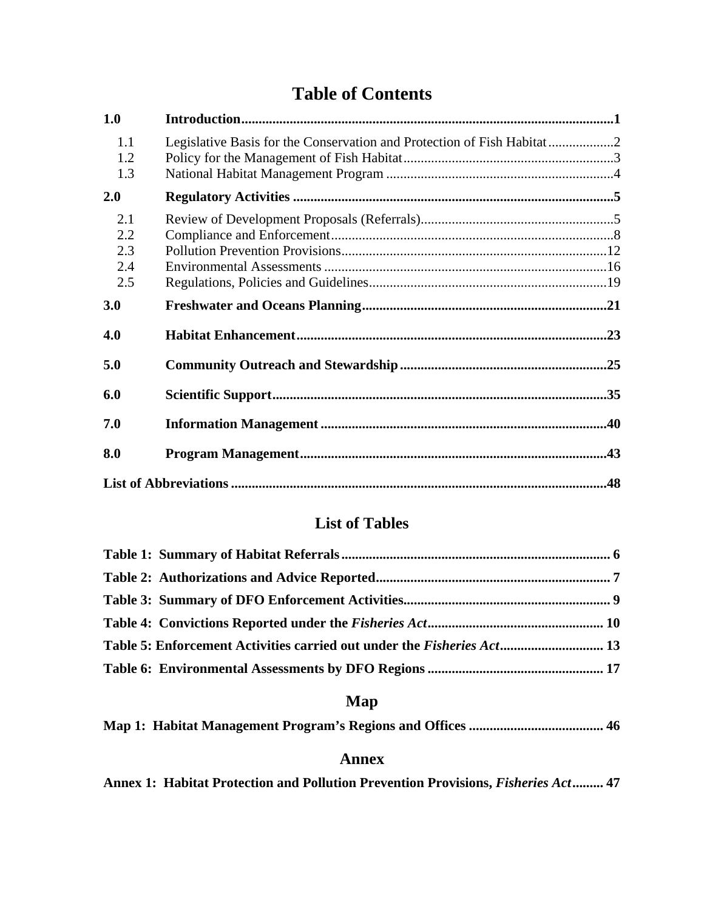# **Table of Contents**

| 1.0                             |                                                                        |  |
|---------------------------------|------------------------------------------------------------------------|--|
| 1.1<br>1.2<br>1.3               | Legislative Basis for the Conservation and Protection of Fish Habitat2 |  |
| 2.0                             |                                                                        |  |
| 2.1<br>2.2<br>2.3<br>2.4<br>2.5 |                                                                        |  |
| 3.0                             |                                                                        |  |
| 4.0                             |                                                                        |  |
| 5.0                             |                                                                        |  |
| 6.0                             |                                                                        |  |
| 7.0                             |                                                                        |  |
| 8.0                             |                                                                        |  |
|                                 |                                                                        |  |

# **List of Tables**

| Table 5: Enforcement Activities carried out under the <i>Fisheries Act</i> 13 |  |
|-------------------------------------------------------------------------------|--|
|                                                                               |  |

# **Map**

|--|--|--|--|--|

## **Annex**

[Annex 1: Habitat Protection and Pollution Prevention Provisions,](#page-54-0) *Fisheries Act*......... 47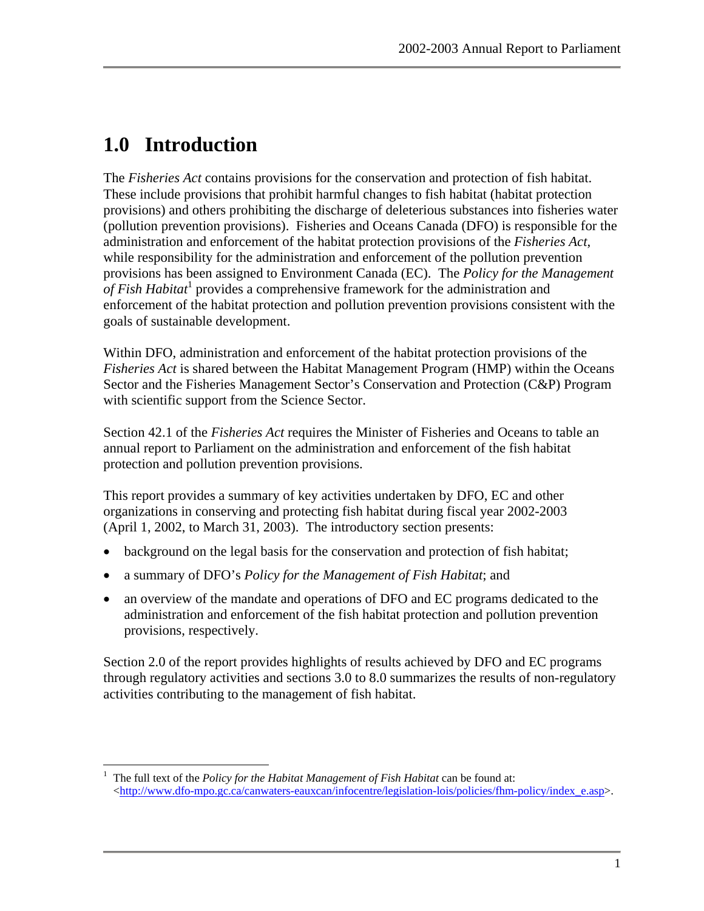# <span id="page-8-0"></span>**1.0 Introduction**

The *Fisheries Act* contains provisions for the conservation and protection of fish habitat. These include provisions that prohibit harmful changes to fish habitat (habitat protection provisions) and others prohibiting the discharge of deleterious substances into fisheries water (pollution prevention provisions). Fisheries and Oceans Canada (DFO) is responsible for the administration and enforcement of the habitat protection provisions of the *Fisheries Act*, while responsibility for the administration and enforcement of the pollution prevention provisions has been assigned to Environment Canada (EC). The *Policy for the Management*  of Fish Habitat<sup>[1](#page-8-1)</sup> provides a comprehensive framework for the administration and enforcement of the habitat protection and pollution prevention provisions consistent with the goals of sustainable development.

Within DFO, administration and enforcement of the habitat protection provisions of the *Fisheries Act* is shared between the Habitat Management Program (HMP) within the Oceans Sector and the Fisheries Management Sector's Conservation and Protection (C&P) Program with scientific support from the Science Sector.

Section 42.1 of the *Fisheries Act* requires the Minister of Fisheries and Oceans to table an annual report to Parliament on the administration and enforcement of the fish habitat protection and pollution prevention provisions.

This report provides a summary of key activities undertaken by DFO, EC and other organizations in conserving and protecting fish habitat during fiscal year 2002-2003 (April 1, 2002, to March 31, 2003). The introductory section presents:

- background on the legal basis for the conservation and protection of fish habitat;
- a summary of DFO's *Policy for the Management of Fish Habitat*; and
- an overview of the mandate and operations of DFO and EC programs dedicated to the administration and enforcement of the fish habitat protection and pollution prevention provisions, respectively.

Section 2.0 of the report provides highlights of results achieved by DFO and EC programs through regulatory activities and sections 3.0 to 8.0 summarizes the results of non-regulatory activities contributing to the management of fish habitat.

<span id="page-8-1"></span> $\overline{a}$ <sup>1</sup> The full text of the *Policy for the Habitat Management of Fish Habitat* can be found at:  $\langle$ http://www.dfo-mpo.gc.ca/canwaters-eauxcan/infocentre/legislation-lois/policies/fhm-policy/index\_e.asp>.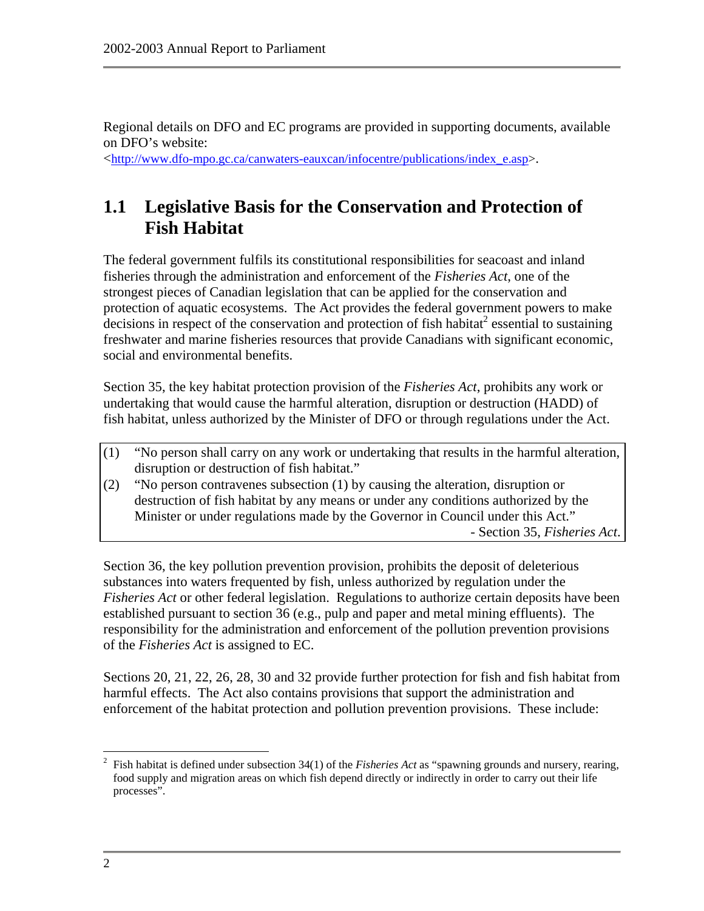<span id="page-9-0"></span>Regional details on DFO and EC programs are provided in supporting documents, available on DFO's website:

<[http://www.dfo-mpo.gc.ca/canwaters-eauxcan/infocentre/publications/index\\_e.asp>](http://www.dfo-mpo.gc.ca/canwaters-eauxcan/infocentre/publications/index_e.asp).

# **1.1 Legislative Basis for the Conservation and Protection of Fish Habitat**

The federal government fulfils its constitutional responsibilities for seacoast and inland fisheries through the administration and enforcement of the *Fisheries Act*, one of the strongest pieces of Canadian legislation that can be applied for the conservation and protection of aquatic ecosystems. The Act provides the federal government powers to make  $\alpha$  decisions in respect of the conservation and protection of fish habitat<sup>[2](#page-9-1)</sup> essential to sustaining freshwater and marine fisheries resources that provide Canadians with significant economic, social and environmental benefits.

Section 35, the key habitat protection provision of the *Fisheries Act*, prohibits any work or undertaking that would cause the harmful alteration, disruption or destruction (HADD) of fish habitat, unless authorized by the Minister of DFO or through regulations under the Act.

- (1) "No person shall carry on any work or undertaking that results in the harmful alteration, disruption or destruction of fish habitat."
- (2) "No person contravenes subsection (1) by causing the alteration, disruption or destruction of fish habitat by any means or under any conditions authorized by the Minister or under regulations made by the Governor in Council under this Act." - Section 35, *Fisheries Act*.

Section 36, the key pollution prevention provision, prohibits the deposit of deleterious substances into waters frequented by fish, unless authorized by regulation under the *Fisheries Act* or other federal legislation. Regulations to authorize certain deposits have been established pursuant to section 36 (e.g., pulp and paper and metal mining effluents). The responsibility for the administration and enforcement of the pollution prevention provisions of the *Fisheries Act* is assigned to EC.

Sections 20, 21, 22, 26, 28, 30 and 32 provide further protection for fish and fish habitat from harmful effects. The Act also contains provisions that support the administration and enforcement of the habitat protection and pollution prevention provisions. These include:

<span id="page-9-1"></span> $\overline{a}$ <sup>2</sup> Fish habitat is defined under subsection 34(1) of the *Fisheries Act* as "spawning grounds and nursery, rearing, food supply and migration areas on which fish depend directly or indirectly in order to carry out their life processes".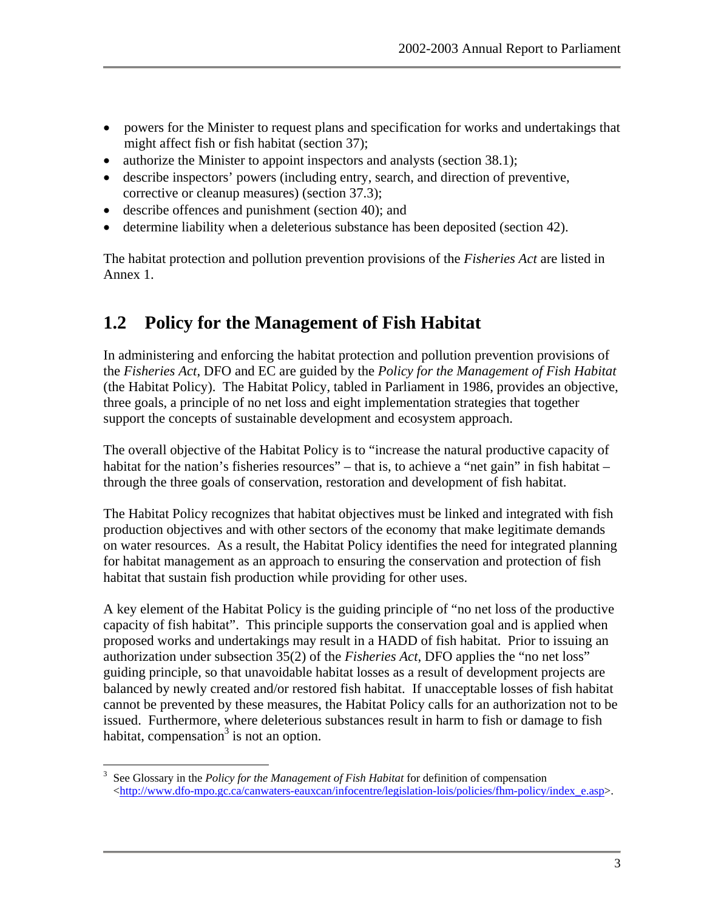- <span id="page-10-0"></span>• powers for the Minister to request plans and specification for works and undertakings that might affect fish or fish habitat (section 37);
- authorize the Minister to appoint inspectors and analysts (section 38.1);
- describe inspectors' powers (including entry, search, and direction of preventive, corrective or cleanup measures) (section 37.3);
- describe offences and punishment (section 40); and
- determine liability when a deleterious substance has been deposited (section 42).

The habitat protection and pollution prevention provisions of the *Fisheries Act* are listed in Annex 1.

# **1.2 Policy for the Management of Fish Habitat**

In administering and enforcing the habitat protection and pollution prevention provisions of the *Fisheries Act*, DFO and EC are guided by the *Policy for the Management of Fish Habitat* (the Habitat Policy). The Habitat Policy, tabled in Parliament in 1986, provides an objective, three goals, a principle of no net loss and eight implementation strategies that together support the concepts of sustainable development and ecosystem approach.

The overall objective of the Habitat Policy is to "increase the natural productive capacity of habitat for the nation's fisheries resources" – that is, to achieve a "net gain" in fish habitat – through the three goals of conservation, restoration and development of fish habitat.

The Habitat Policy recognizes that habitat objectives must be linked and integrated with fish production objectives and with other sectors of the economy that make legitimate demands on water resources. As a result, the Habitat Policy identifies the need for integrated planning for habitat management as an approach to ensuring the conservation and protection of fish habitat that sustain fish production while providing for other uses.

A key element of the Habitat Policy is the guiding principle of "no net loss of the productive capacity of fish habitat". This principle supports the conservation goal and is applied when proposed works and undertakings may result in a HADD of fish habitat. Prior to issuing an authorization under subsection 35(2) of the *Fisheries Act*, DFO applies the "no net loss" guiding principle, so that unavoidable habitat losses as a result of development projects are balanced by newly created and/or restored fish habitat. If unacceptable losses of fish habitat cannot be prevented by these measures, the Habitat Policy calls for an authorization not to be issued. Furthermore, where deleterious substances result in harm to fish or damage to fish habitat, compensation<sup>3</sup> is not an option.

<span id="page-10-1"></span><sup>1</sup> <sup>3</sup> See Glossary in the *Policy for the Management of Fish Habitat* for definition of compensation  $\langle$ http://www.dfo-mpo.gc.ca/canwaters-eauxcan/infocentre/legislation-lois/policies/fhm-policy/index\_e.asp>.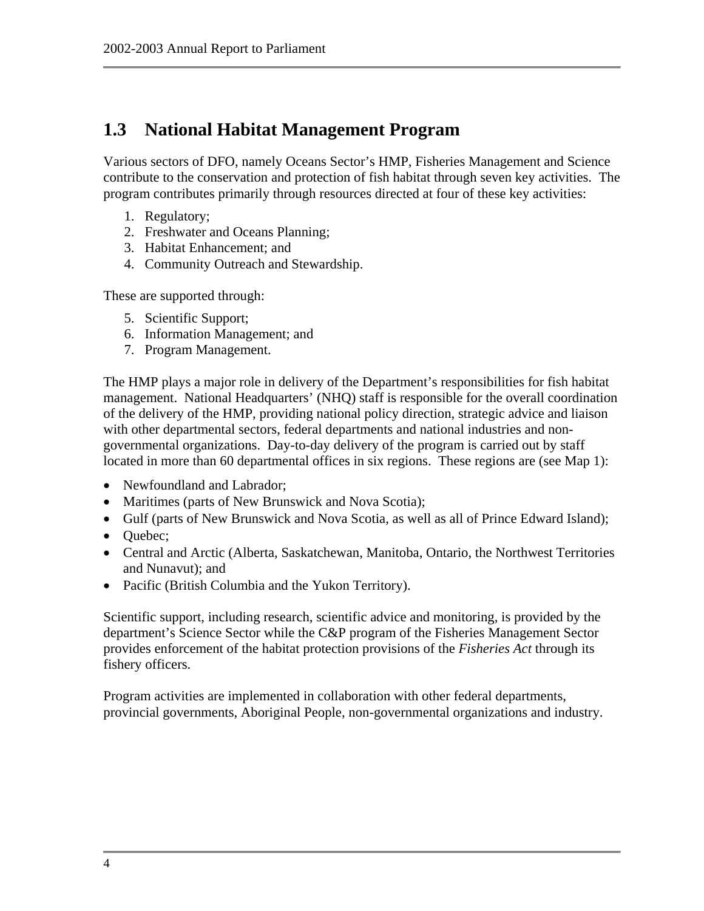# <span id="page-11-0"></span>**1.3 National Habitat Management Program**

Various sectors of DFO, namely Oceans Sector's HMP, Fisheries Management and Science contribute to the conservation and protection of fish habitat through seven key activities. The program contributes primarily through resources directed at four of these key activities:

- 1. Regulatory;
- 2. Freshwater and Oceans Planning;
- 3. Habitat Enhancement; and
- 4. Community Outreach and Stewardship.

These are supported through:

- 5. Scientific Support;
- 6. Information Management; and
- 7. Program Management.

The HMP plays a major role in delivery of the Department's responsibilities for fish habitat management. National Headquarters' (NHQ) staff is responsible for the overall coordination of the delivery of the HMP, providing national policy direction, strategic advice and liaison with other departmental sectors, federal departments and national industries and nongovernmental organizations. Day-to-day delivery of the program is carried out by staff located in more than 60 departmental offices in six regions. These regions are (see Map 1):

- Newfoundland and Labrador;
- Maritimes (parts of New Brunswick and Nova Scotia);
- Gulf (parts of New Brunswick and Nova Scotia, as well as all of Prince Edward Island);
- Quebec;
- Central and Arctic (Alberta, Saskatchewan, Manitoba, Ontario, the Northwest Territories and Nunavut); and
- Pacific (British Columbia and the Yukon Territory).

Scientific support, including research, scientific advice and monitoring, is provided by the department's Science Sector while the C&P program of the Fisheries Management Sector provides enforcement of the habitat protection provisions of the *Fisheries Act* through its fishery officers.

Program activities are implemented in collaboration with other federal departments, provincial governments, Aboriginal People, non-governmental organizations and industry.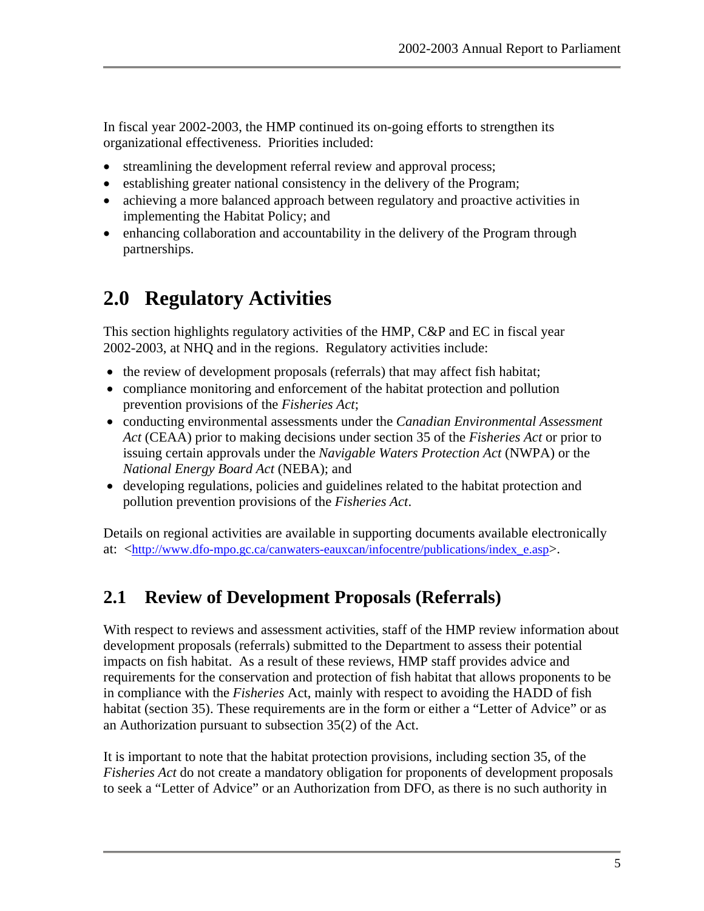<span id="page-12-0"></span>In fiscal year 2002-2003, the HMP continued its on-going efforts to strengthen its organizational effectiveness. Priorities included:

- streamlining the development referral review and approval process;
- establishing greater national consistency in the delivery of the Program;
- achieving a more balanced approach between regulatory and proactive activities in implementing the Habitat Policy; and
- enhancing collaboration and accountability in the delivery of the Program through partnerships.

# **2.0 Regulatory Activities**

This section highlights regulatory activities of the HMP, C&P and EC in fiscal year 2002-2003, at NHQ and in the regions. Regulatory activities include:

- the review of development proposals (referrals) that may affect fish habitat;
- compliance monitoring and enforcement of the habitat protection and pollution prevention provisions of the *Fisheries Act*;
- conducting environmental assessments under the *Canadian Environmental Assessment Act* (CEAA) prior to making decisions under section 35 of the *Fisheries Act* or prior to issuing certain approvals under the *Navigable Waters Protection Act* (NWPA) or the *National Energy Board Act* (NEBA); and
- developing regulations, policies and guidelines related to the habitat protection and pollution prevention provisions of the *Fisheries Act*.

Details on regional activities are available in supporting documents available electronically at: <[http://www.dfo-mpo.gc.ca/canwaters-eauxcan/infocentre/publications/index\\_e.asp>](http://www.dfo-mpo.gc.ca/canwaters-eauxcan/infocentre/publications/index_e.asp).

## **2.1 Review of Development Proposals (Referrals)**

With respect to reviews and assessment activities, staff of the HMP review information about development proposals (referrals) submitted to the Department to assess their potential impacts on fish habitat. As a result of these reviews, HMP staff provides advice and requirements for the conservation and protection of fish habitat that allows proponents to be in compliance with the *Fisheries* Act, mainly with respect to avoiding the HADD of fish habitat (section 35). These requirements are in the form or either a "Letter of Advice" or as an Authorization pursuant to subsection 35(2) of the Act.

It is important to note that the habitat protection provisions, including section 35, of the *Fisheries Act* do not create a mandatory obligation for proponents of development proposals to seek a "Letter of Advice" or an Authorization from DFO, as there is no such authority in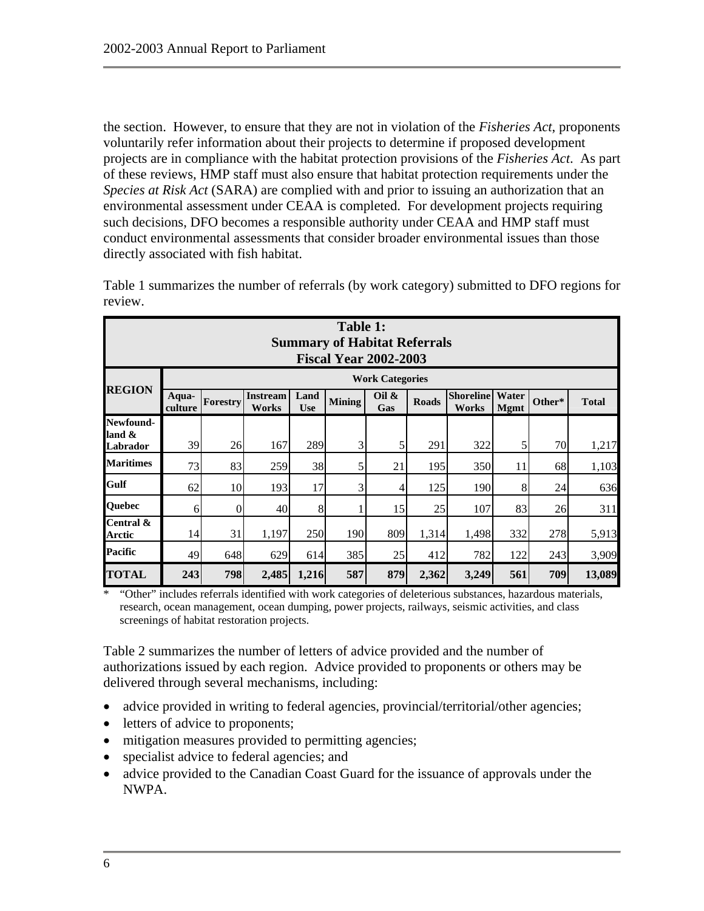<span id="page-13-0"></span>the section. However, to ensure that they are not in violation of the *Fisheries Act*, proponents voluntarily refer information about their projects to determine if proposed development projects are in compliance with the habitat protection provisions of the *Fisheries Act*. As part of these reviews, HMP staff must also ensure that habitat protection requirements under the *Species at Risk Act* (SARA) are complied with and prior to issuing an authorization that an environmental assessment under CEAA is completed. For development projects requiring such decisions, DFO becomes a responsible authority under CEAA and HMP staff must conduct environmental assessments that consider broader environmental issues than those directly associated with fish habitat.

|                                    | Table 1:<br><b>Summary of Habitat Referrals</b><br><b>Fiscal Year 2002-2003</b> |                        |                                 |                    |               |                 |              |                           |                      |        |              |  |
|------------------------------------|---------------------------------------------------------------------------------|------------------------|---------------------------------|--------------------|---------------|-----------------|--------------|---------------------------|----------------------|--------|--------------|--|
|                                    |                                                                                 | <b>Work Categories</b> |                                 |                    |               |                 |              |                           |                      |        |              |  |
| <b>REGION</b>                      | Aqua-<br>culture                                                                | Forestry               | <b>Instream</b><br><b>Works</b> | Land<br><b>Use</b> | <b>Mining</b> | Oil $\&$<br>Gas | <b>Roads</b> | <b>Shoreline</b><br>Works | Water<br><b>Mgmt</b> | Other* | <b>Total</b> |  |
| Newfound-<br>land $\&$<br>Labrador | 39                                                                              | 26                     | 167                             | 289                | 3             | 5               | 291          | 322                       | 5                    | 70     | 1,217        |  |
| <b>Maritimes</b>                   | 73                                                                              | 83                     | 259                             | 38                 | 5             | 21              | 195          | 350                       | 11                   | 68     | 1,103        |  |
| Gulf                               | 62                                                                              | 10                     | 193                             | 17                 | 3             | 4               | 125          | 190                       | 8                    | 24     | 636          |  |
| Quebec                             | 6                                                                               | 0                      | 40                              | 8                  |               | 15              | 25           | 107                       | 83                   | 26     | 311          |  |
| Central &<br><b>Arctic</b>         | 14                                                                              | 31                     | 1,197                           | 250                | 190           | 809             | 1,314        | 1,498                     | 332                  | 278    | 5,913        |  |
| <b>Pacific</b>                     | 49                                                                              | 648                    | 629                             | 614                | 385           | 25              | 412          | 782                       | 122                  | 243    | 3,909        |  |
| <b>TOTAL</b>                       | 243                                                                             | 798                    | 2,485                           | 1,216              | 587           | 879             | 2,362        | 3,249                     | 561                  | 709    | 13,089       |  |

Table 1 summarizes the number of referrals (by work category) submitted to DFO regions for review.

\* "Other" includes referrals identified with work categories of deleterious substances, hazardous materials, research, ocean management, ocean dumping, power projects, railways, seismic activities, and class screenings of habitat restoration projects.

Table 2 summarizes the number of letters of advice provided and the number of authorizations issued by each region. Advice provided to proponents or others may be delivered through several mechanisms, including:

- advice provided in writing to federal agencies, provincial/territorial/other agencies;
- letters of advice to proponents;
- mitigation measures provided to permitting agencies;
- specialist advice to federal agencies; and
- advice provided to the Canadian Coast Guard for the issuance of approvals under the NWPA.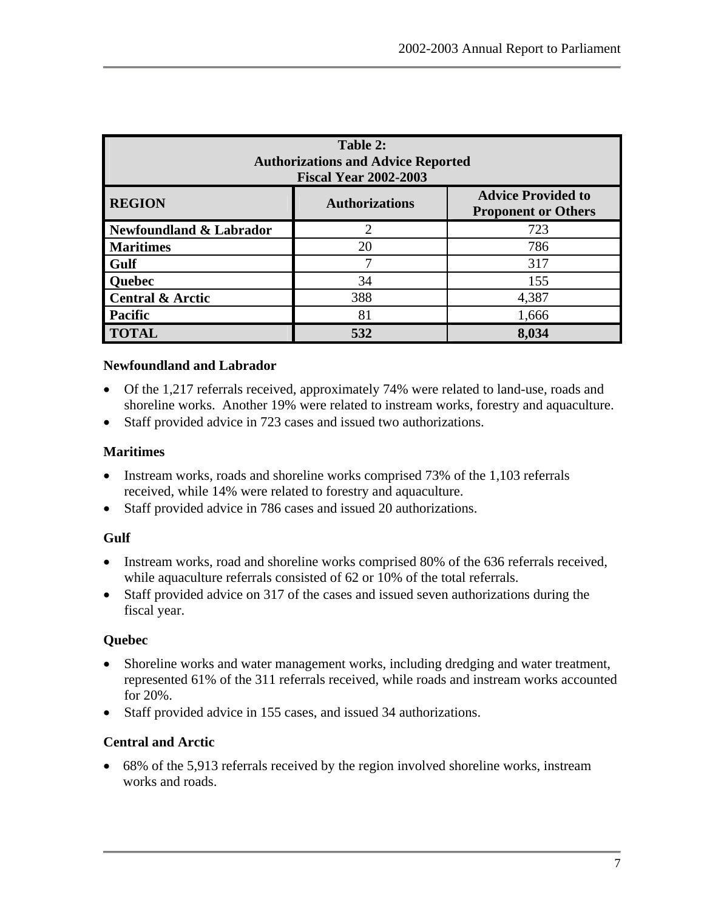<span id="page-14-0"></span>

| Table 2:<br><b>Authorizations and Advice Reported</b><br><b>Fiscal Year 2002-2003</b> |                             |                                                         |  |  |  |
|---------------------------------------------------------------------------------------|-----------------------------|---------------------------------------------------------|--|--|--|
| <b>REGION</b>                                                                         | <b>Authorizations</b>       | <b>Advice Provided to</b><br><b>Proponent or Others</b> |  |  |  |
| Newfoundland & Labrador                                                               | $\mathcal{D}_{\mathcal{L}}$ | 723                                                     |  |  |  |
| <b>Maritimes</b>                                                                      | 20                          | 786                                                     |  |  |  |
| <b>Gulf</b>                                                                           | 7                           | 317                                                     |  |  |  |
| <b>Quebec</b>                                                                         | 34                          | 155                                                     |  |  |  |
| <b>Central &amp; Arctic</b>                                                           | 388                         | 4,387                                                   |  |  |  |
| <b>Pacific</b>                                                                        | 81                          | 1,666                                                   |  |  |  |
| <b>TOTAL</b>                                                                          | 532                         | 8,034                                                   |  |  |  |

#### **Newfoundland and Labrador**

- Of the 1,217 referrals received, approximately 74% were related to land-use, roads and shoreline works. Another 19% were related to instream works, forestry and aquaculture.
- Staff provided advice in 723 cases and issued two authorizations.

## **Maritimes**

- Instream works, roads and shoreline works comprised 73% of the 1,103 referrals received, while 14% were related to forestry and aquaculture.
- Staff provided advice in 786 cases and issued 20 authorizations.

## **Gulf**

- Instream works, road and shoreline works comprised 80% of the 636 referrals received, while aquaculture referrals consisted of 62 or 10% of the total referrals.
- Staff provided advice on 317 of the cases and issued seven authorizations during the fiscal year.

## **Quebec**

- Shoreline works and water management works, including dredging and water treatment, represented 61% of the 311 referrals received, while roads and instream works accounted for 20%.
- Staff provided advice in 155 cases, and issued 34 authorizations.

## **Central and Arctic**

• 68% of the 5,913 referrals received by the region involved shoreline works, instream works and roads.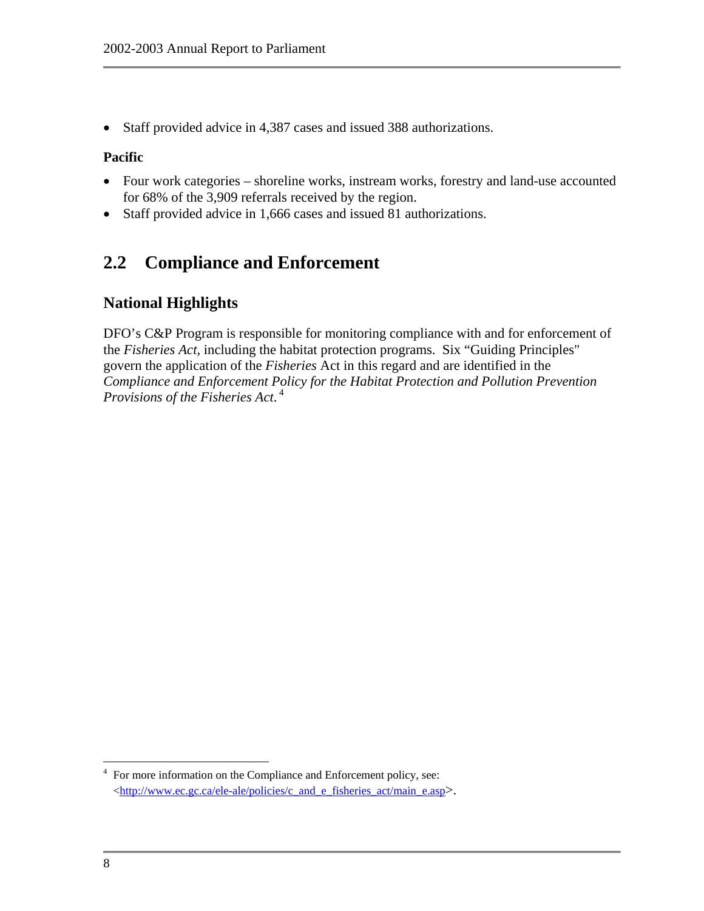<span id="page-15-0"></span>• Staff provided advice in 4,387 cases and issued 388 authorizations.

#### **Pacific**

- Four work categories shoreline works, instream works, forestry and land-use accounted for 68% of the 3,909 referrals received by the region.
- Staff provided advice in 1,666 cases and issued 81 authorizations.

# **2.2 Compliance and Enforcement**

## **National Highlights**

DFO's C&P Program is responsible for monitoring compliance with and for enforcement of the *Fisheries Act,* including the habitat protection programs. Six "Guiding Principles" govern the application of the *Fisheries* Act in this regard and are identified in the *Compliance and Enforcement Policy for the Habitat Protection and Pollution Prevention Provisions of the Fisheries Act*.  [4](#page-15-1)

<span id="page-15-1"></span> $\overline{a}$  $4$  For more information on the Compliance and Enforcement policy, see: [<http://www.ec.gc.ca/ele-ale/policies/c\\_and\\_e\\_fisheries\\_act/main\\_e.asp>](http://www.ec.gc.ca/ele-ale/policies/c_and_e_fisheries_act/main_e.asp).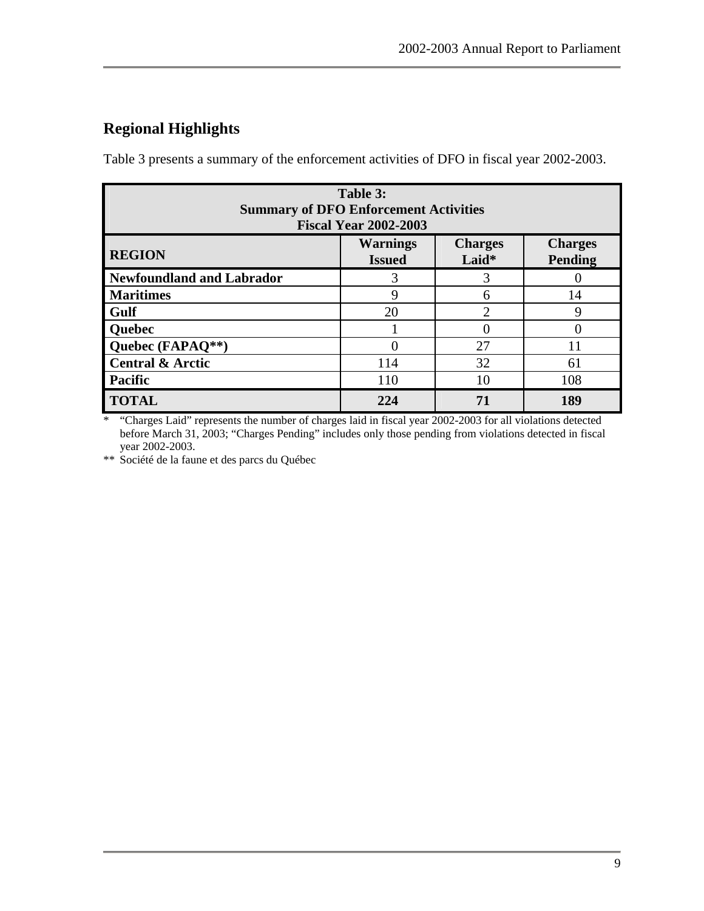# <span id="page-16-0"></span>**Regional Highlights**

Table 3 presents a summary of the enforcement activities of DFO in fiscal year 2002-2003.

| Table 3:<br><b>Summary of DFO Enforcement Activities</b><br><b>Fiscal Year 2002-2003</b>                  |     |    |     |  |  |
|-----------------------------------------------------------------------------------------------------------|-----|----|-----|--|--|
| <b>Warnings</b><br><b>Charges</b><br><b>Charges</b><br><b>REGION</b><br>Laid*<br>Pending<br><b>Issued</b> |     |    |     |  |  |
| Newfoundland and Labrador                                                                                 | 3   | 3  |     |  |  |
| <b>Maritimes</b>                                                                                          | 9   | 6  | 14  |  |  |
| <b>Gulf</b>                                                                                               | 20  | າ  | Q   |  |  |
| <b>Quebec</b>                                                                                             |     |    |     |  |  |
| Quebec (FAPAQ**)                                                                                          | 0   | 27 | 11  |  |  |
| <b>Central &amp; Arctic</b>                                                                               | 114 | 32 | 61  |  |  |
| <b>Pacific</b>                                                                                            | 110 | 10 | 108 |  |  |
| <b>TOTAL</b>                                                                                              | 224 |    | 189 |  |  |

\* "Charges Laid" represents the number of charges laid in fiscal year 2002-2003 for all violations detected before March 31, 2003; "Charges Pending" includes only those pending from violations detected in fiscal year 2002-2003.

\*\* Société de la faune et des parcs du Québec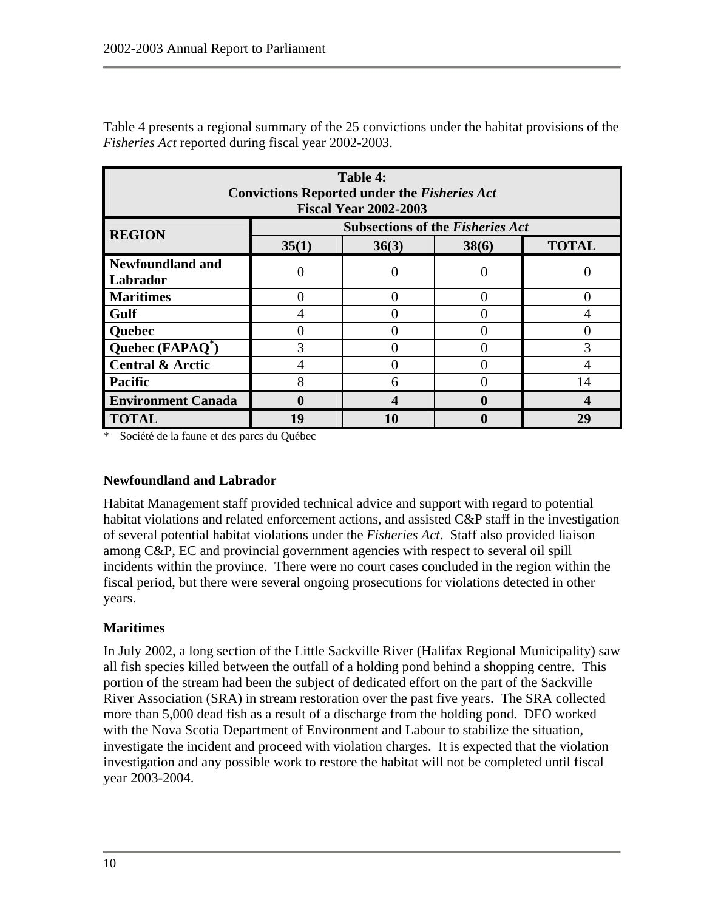<span id="page-17-0"></span>Table 4 presents a regional summary of the 25 convictions under the habitat provisions of the *Fisheries Act* reported during fiscal year 2002-2003.

| Table 4:<br><b>Convictions Reported under the Fisheries Act</b><br><b>Fiscal Year 2002-2003</b> |       |                                         |       |              |
|-------------------------------------------------------------------------------------------------|-------|-----------------------------------------|-------|--------------|
| <b>REGION</b>                                                                                   |       | <b>Subsections of the Fisheries Act</b> |       |              |
|                                                                                                 | 35(1) | 36(3)                                   | 38(6) | <b>TOTAL</b> |
| <b>Newfoundland and</b><br>Labrador                                                             | 0     |                                         |       |              |
| <b>Maritimes</b>                                                                                |       |                                         |       |              |
| Gulf                                                                                            | 4     |                                         |       |              |
| <b>Quebec</b>                                                                                   |       |                                         |       |              |
| Quebec $(FAPAQ^*)$                                                                              | 3     |                                         |       | 3            |
| <b>Central &amp; Arctic</b>                                                                     | 4     |                                         |       |              |
| <b>Pacific</b>                                                                                  | 8     | 6                                       |       | 14           |
| <b>Environment Canada</b>                                                                       | 0     |                                         |       |              |
| <b>TOTAL</b>                                                                                    | 19    | 10                                      |       | 29           |

Société de la faune et des parcs du Québec

#### **Newfoundland and Labrador**

Habitat Management staff provided technical advice and support with regard to potential habitat violations and related enforcement actions, and assisted C&P staff in the investigation of several potential habitat violations under the *Fisheries Act*. Staff also provided liaison among C&P, EC and provincial government agencies with respect to several oil spill incidents within the province. There were no court cases concluded in the region within the fiscal period, but there were several ongoing prosecutions for violations detected in other years.

#### **Maritimes**

In July 2002, a long section of the Little Sackville River (Halifax Regional Municipality) saw all fish species killed between the outfall of a holding pond behind a shopping centre. This portion of the stream had been the subject of dedicated effort on the part of the Sackville River Association (SRA) in stream restoration over the past five years. The SRA collected more than 5,000 dead fish as a result of a discharge from the holding pond. DFO worked with the Nova Scotia Department of Environment and Labour to stabilize the situation, investigate the incident and proceed with violation charges. It is expected that the violation investigation and any possible work to restore the habitat will not be completed until fiscal year 2003-2004.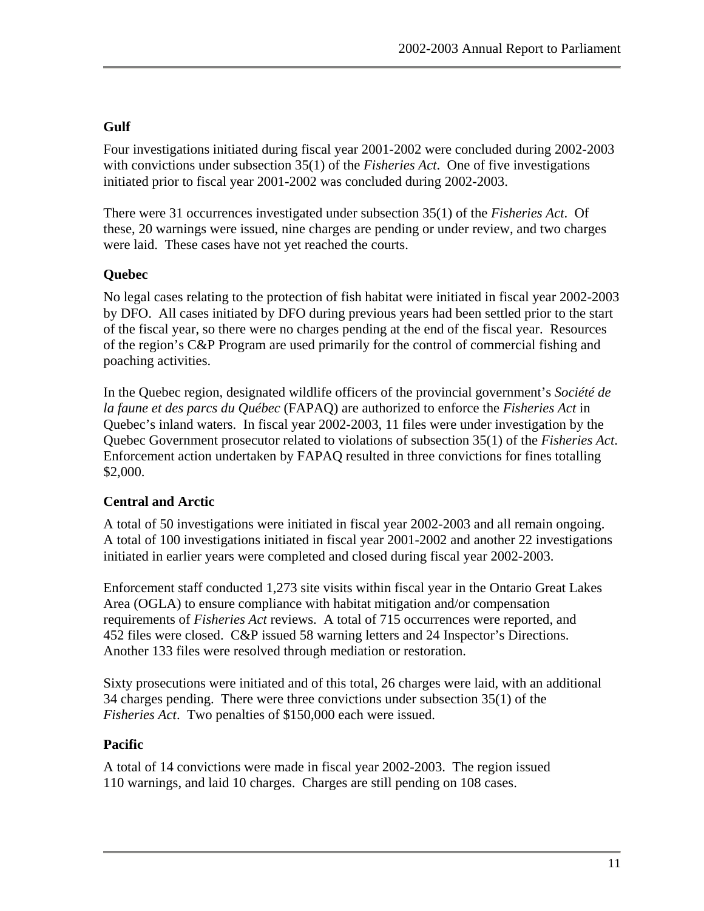## **Gulf**

Four investigations initiated during fiscal year 2001-2002 were concluded during 2002-2003 with convictions under subsection 35(1) of the *Fisheries Act*. One of five investigations initiated prior to fiscal year 2001-2002 was concluded during 2002-2003.

There were 31 occurrences investigated under subsection 35(1) of the *Fisheries Act*. Of these, 20 warnings were issued, nine charges are pending or under review, and two charges were laid. These cases have not yet reached the courts.

## **Quebec**

No legal cases relating to the protection of fish habitat were initiated in fiscal year 2002-2003 by DFO. All cases initiated by DFO during previous years had been settled prior to the start of the fiscal year, so there were no charges pending at the end of the fiscal year. Resources of the region's C&P Program are used primarily for the control of commercial fishing and poaching activities.

In the Quebec region, designated wildlife officers of the provincial government's *Société de la faune et des parcs du Québec* (FAPAQ) are authorized to enforce the *Fisheries Act* in Quebec's inland waters. In fiscal year 2002-2003, 11 files were under investigation by the Quebec Government prosecutor related to violations of subsection 35(1) of the *Fisheries Act*. Enforcement action undertaken by FAPAQ resulted in three convictions for fines totalling \$2,000.

## **Central and Arctic**

A total of 50 investigations were initiated in fiscal year 2002-2003 and all remain ongoing. A total of 100 investigations initiated in fiscal year 2001-2002 and another 22 investigations initiated in earlier years were completed and closed during fiscal year 2002-2003.

Enforcement staff conducted 1,273 site visits within fiscal year in the Ontario Great Lakes Area (OGLA) to ensure compliance with habitat mitigation and/or compensation requirements of *Fisheries Act* reviews. A total of 715 occurrences were reported, and 452 files were closed. C&P issued 58 warning letters and 24 Inspector's Directions. Another 133 files were resolved through mediation or restoration.

Sixty prosecutions were initiated and of this total, 26 charges were laid, with an additional 34 charges pending. There were three convictions under subsection 35(1) of the *Fisheries Act*. Two penalties of \$150,000 each were issued.

#### **Pacific**

A total of 14 convictions were made in fiscal year 2002-2003. The region issued 110 warnings, and laid 10 charges. Charges are still pending on 108 cases.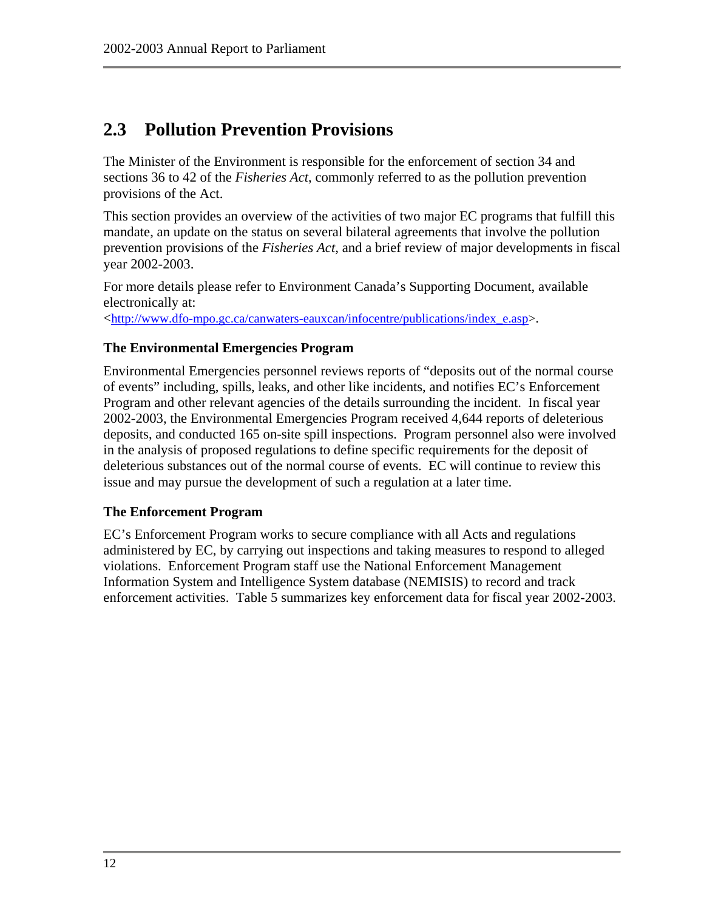# <span id="page-19-0"></span>**2.3 Pollution Prevention Provisions**

The Minister of the Environment is responsible for the enforcement of section 34 and sections 36 to 42 of the *Fisheries Act*, commonly referred to as the pollution prevention provisions of the Act.

This section provides an overview of the activities of two major EC programs that fulfill this mandate, an update on the status on several bilateral agreements that involve the pollution prevention provisions of the *Fisheries Act*, and a brief review of major developments in fiscal year 2002-2003.

For more details please refer to Environment Canada's Supporting Document, available electronically at:

<[http://www.dfo-mpo.gc.ca/canwaters-eauxcan/infocentre/publications/index\\_e.asp>](http://www.dfo-mpo.gc.ca/canwaters-eauxcan/infocentre/publications/index_e.asp).

#### **The Environmental Emergencies Program**

Environmental Emergencies personnel reviews reports of "deposits out of the normal course of events" including, spills, leaks, and other like incidents, and notifies EC's Enforcement Program and other relevant agencies of the details surrounding the incident. In fiscal year 2002-2003, the Environmental Emergencies Program received 4,644 reports of deleterious deposits, and conducted 165 on-site spill inspections. Program personnel also were involved in the analysis of proposed regulations to define specific requirements for the deposit of deleterious substances out of the normal course of events. EC will continue to review this issue and may pursue the development of such a regulation at a later time.

#### **The Enforcement Program**

EC's Enforcement Program works to secure compliance with all Acts and regulations administered by EC, by carrying out inspections and taking measures to respond to alleged violations. Enforcement Program staff use the National Enforcement Management Information System and Intelligence System database (NEMISIS) to record and track enforcement activities. Table 5 summarizes key enforcement data for fiscal year 2002-2003.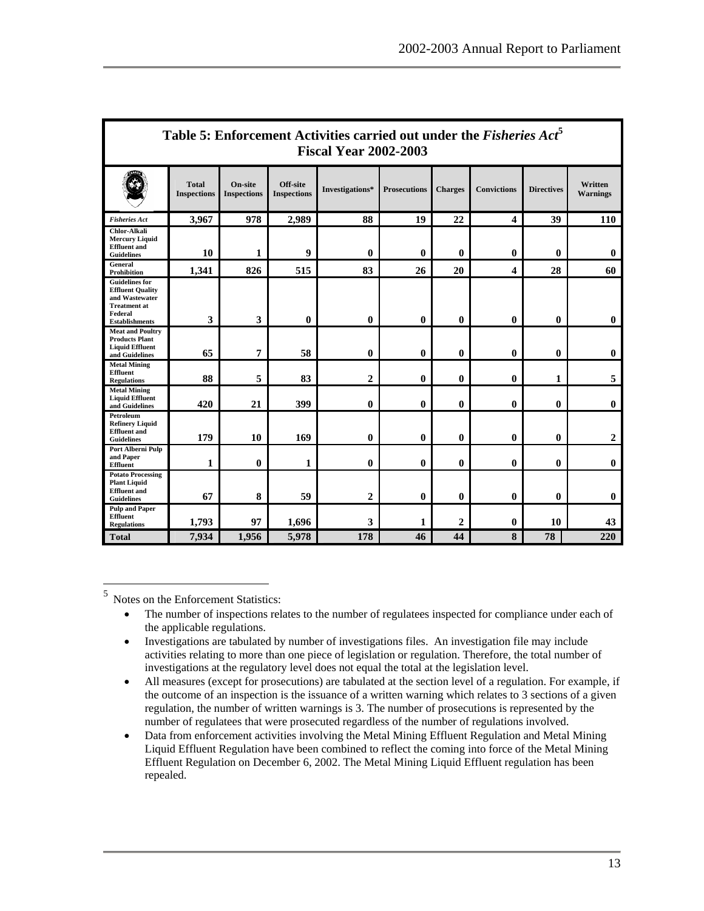<span id="page-20-0"></span>

| Table 5: Enforcement Activities carried out under the <i>Fisheries Act</i> <sup>5</sup><br><b>Fiscal Year 2002-2003</b>       |                                    |                                      |                                |                  |                     |                |                         |                   |                            |
|-------------------------------------------------------------------------------------------------------------------------------|------------------------------------|--------------------------------------|--------------------------------|------------------|---------------------|----------------|-------------------------|-------------------|----------------------------|
|                                                                                                                               | <b>Total</b><br><b>Inspections</b> | <b>On-site</b><br><b>Inspections</b> | Off-site<br><b>Inspections</b> | Investigations*  | <b>Prosecutions</b> | <b>Charges</b> | <b>Convictions</b>      | <b>Directives</b> | Written<br><b>Warnings</b> |
| <b>Fisheries Act</b>                                                                                                          | 3.967                              | 978                                  | 2,989                          | 88               | 19                  | 22             | $\overline{\mathbf{4}}$ | 39                | <b>110</b>                 |
| <b>Chlor-Alkali</b><br><b>Mercury Liquid</b><br><b>Effluent</b> and<br><b>Guidelines</b>                                      | 10                                 | 1                                    | 9                              | $\mathbf{0}$     | $\bf{0}$            | $\mathbf{0}$   | $\bf{0}$                | $\mathbf{0}$      | $\mathbf{0}$               |
| <b>General</b><br><b>Prohibition</b>                                                                                          | 1,341                              | 826                                  | 515                            | 83               | 26                  | 20             | $\overline{\mathbf{4}}$ | 28                | 60                         |
| <b>Guidelines for</b><br><b>Effluent Quality</b><br>and Wastewater<br><b>Treatment at</b><br>Federal<br><b>Establishments</b> | 3                                  | 3                                    | $\bf{0}$                       | $\mathbf{0}$     | $\mathbf{0}$        | $\mathbf{0}$   | $\mathbf{0}$            | $\mathbf{0}$      | $\mathbf{0}$               |
| <b>Meat and Poultry</b><br><b>Products Plant</b><br><b>Liquid Effluent</b><br>and Guidelines                                  | 65                                 | $\overline{7}$                       | 58                             | $\bf{0}$         | $\bf{0}$            | $\mathbf{0}$   | $\mathbf{0}$            | $\bf{0}$          | $\bf{0}$                   |
| <b>Metal Mining</b><br><b>Effluent</b><br><b>Regulations</b>                                                                  | 88                                 | 5                                    | 83                             | $\boldsymbol{2}$ | $\bf{0}$            | 0              | $\bf{0}$                | 1                 | 5                          |
| <b>Metal Mining</b><br><b>Liquid Effluent</b><br>and Guidelines                                                               | 420                                | 21                                   | 399                            | $\mathbf{0}$     | $\bf{0}$            | $\mathbf{0}$   | $\bf{0}$                | $\mathbf{0}$      | $\mathbf{0}$               |
| Petroleum<br><b>Refinery Liquid</b><br><b>Effluent</b> and<br><b>Guidelines</b>                                               | 179                                | 10                                   | 169                            | $\bf{0}$         | $\bf{0}$            | $\mathbf{0}$   | $\mathbf{0}$            | $\bf{0}$          | $\mathbf{2}$               |
| Port Alberni Pulp<br>and Paper<br><b>Effluent</b>                                                                             | 1                                  | $\bf{0}$                             | 1                              | $\bf{0}$         | $\bf{0}$            | $\mathbf{0}$   | $\bf{0}$                | $\bf{0}$          | $\bf{0}$                   |
| <b>Potato Processing</b><br><b>Plant Liquid</b><br><b>Effluent</b> and<br><b>Guidelines</b>                                   | 67                                 | 8                                    | 59                             | $\boldsymbol{2}$ | $\mathbf{0}$        | $\mathbf{0}$   | $\mathbf{0}$            | $\mathbf{0}$      | $\mathbf{0}$               |
| <b>Pulp and Paper</b><br><b>Effluent</b><br><b>Regulations</b>                                                                | 1,793                              | 97                                   | 1,696                          | 3                | 1                   | $\mathbf{2}$   | $\mathbf{0}$            | 10                | 43                         |
| <b>Total</b>                                                                                                                  | 7,934                              | 1,956                                | 5,978                          | 178              | 46                  | 44             | 8                       | 78                | 220                        |

<span id="page-20-1"></span><sup>5</sup> Notes on the Enforcement Statistics:

 $\overline{a}$ 

- The number of inspections relates to the number of regulatees inspected for compliance under each of the applicable regulations.
- Investigations are tabulated by number of investigations files. An investigation file may include activities relating to more than one piece of legislation or regulation. Therefore, the total number of investigations at the regulatory level does not equal the total at the legislation level.
- All measures (except for prosecutions) are tabulated at the section level of a regulation. For example, if the outcome of an inspection is the issuance of a written warning which relates to 3 sections of a given regulation, the number of written warnings is 3. The number of prosecutions is represented by the number of regulatees that were prosecuted regardless of the number of regulations involved.
- Data from enforcement activities involving the Metal Mining Effluent Regulation and Metal Mining Liquid Effluent Regulation have been combined to reflect the coming into force of the Metal Mining Effluent Regulation on December 6, 2002. The Metal Mining Liquid Effluent regulation has been repealed.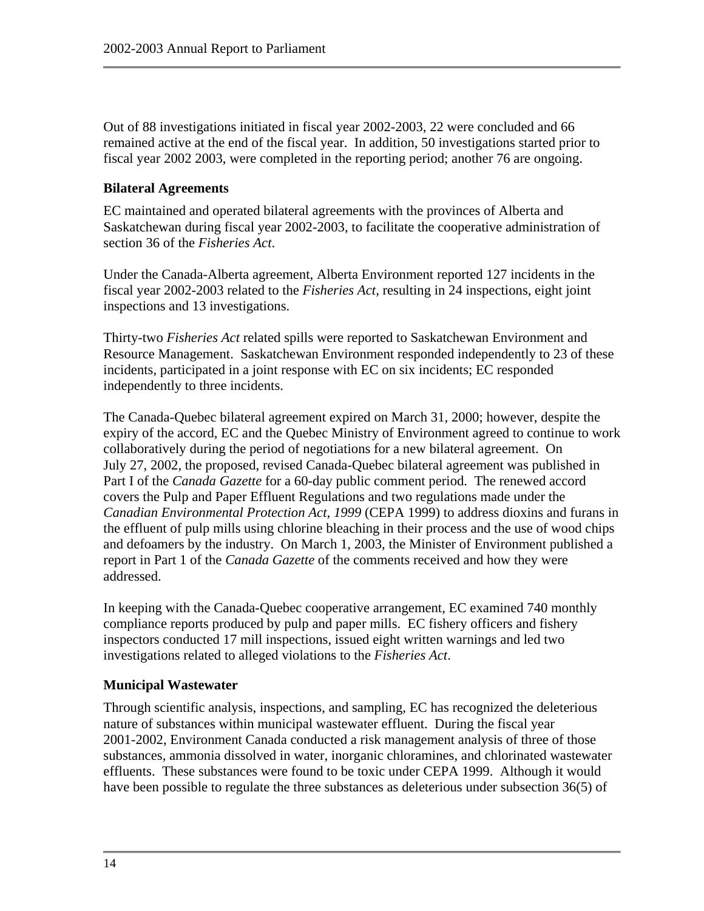Out of 88 investigations initiated in fiscal year 2002-2003, 22 were concluded and 66 remained active at the end of the fiscal year. In addition, 50 investigations started prior to fiscal year 2002 2003, were completed in the reporting period; another 76 are ongoing.

#### **Bilateral Agreements**

EC maintained and operated bilateral agreements with the provinces of Alberta and Saskatchewan during fiscal year 2002-2003, to facilitate the cooperative administration of section 36 of the *Fisheries Act*.

Under the Canada-Alberta agreement, Alberta Environment reported 127 incidents in the fiscal year 2002-2003 related to the *Fisheries Act,* resulting in 24 inspections, eight joint inspections and 13 investigations.

Thirty-two *Fisheries Act* related spills were reported to Saskatchewan Environment and Resource Management. Saskatchewan Environment responded independently to 23 of these incidents, participated in a joint response with EC on six incidents; EC responded independently to three incidents.

The Canada-Quebec bilateral agreement expired on March 31, 2000; however, despite the expiry of the accord, EC and the Quebec Ministry of Environment agreed to continue to work collaboratively during the period of negotiations for a new bilateral agreement. On July 27, 2002, the proposed, revised Canada-Quebec bilateral agreement was published in Part I of the *Canada Gazette* for a 60-day public comment period. The renewed accord covers the Pulp and Paper Effluent Regulations and two regulations made under the *Canadian Environmental Protection Act, 1999* (CEPA 1999) to address dioxins and furans in the effluent of pulp mills using chlorine bleaching in their process and the use of wood chips and defoamers by the industry. On March 1, 2003, the Minister of Environment published a report in Part 1 of the *Canada Gazette* of the comments received and how they were addressed.

In keeping with the Canada-Quebec cooperative arrangement, EC examined 740 monthly compliance reports produced by pulp and paper mills. EC fishery officers and fishery inspectors conducted 17 mill inspections, issued eight written warnings and led two investigations related to alleged violations to the *Fisheries Act*.

#### **Municipal Wastewater**

Through scientific analysis, inspections, and sampling, EC has recognized the deleterious nature of substances within municipal wastewater effluent. During the fiscal year 2001-2002, Environment Canada conducted a risk management analysis of three of those substances, ammonia dissolved in water, inorganic chloramines, and chlorinated wastewater effluents. These substances were found to be toxic under CEPA 1999. Although it would have been possible to regulate the three substances as deleterious under subsection 36(5) of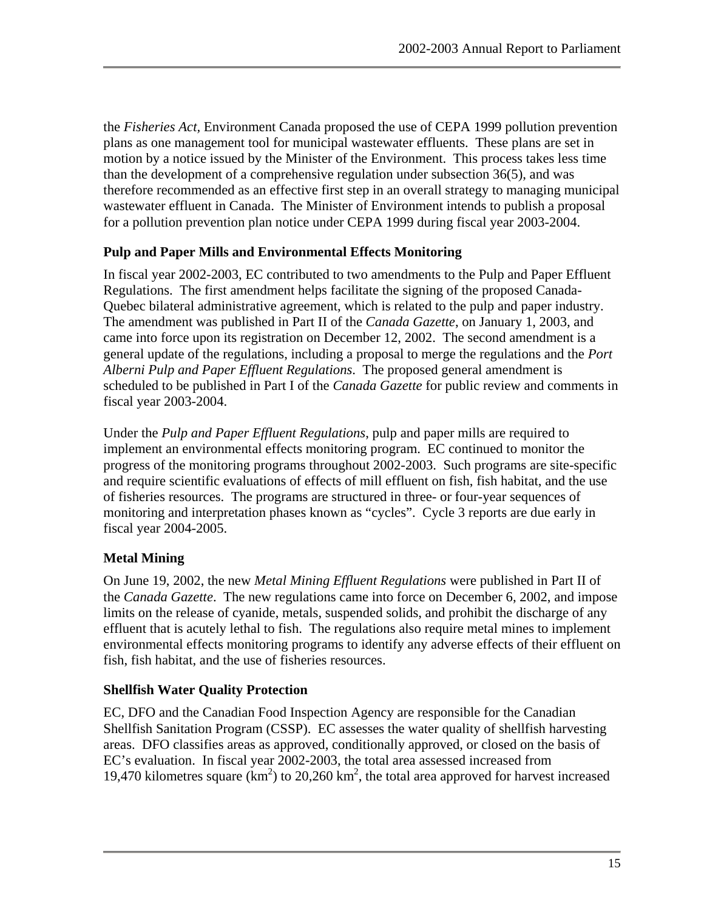the *Fisheries Act,* Environment Canada proposed the use of CEPA 1999 pollution prevention plans as one management tool for municipal wastewater effluents. These plans are set in motion by a notice issued by the Minister of the Environment. This process takes less time than the development of a comprehensive regulation under subsection 36(5), and was therefore recommended as an effective first step in an overall strategy to managing municipal wastewater effluent in Canada. The Minister of Environment intends to publish a proposal for a pollution prevention plan notice under CEPA 1999 during fiscal year 2003-2004.

#### **Pulp and Paper Mills and Environmental Effects Monitoring**

In fiscal year 2002-2003, EC contributed to two amendments to the Pulp and Paper Effluent Regulations. The first amendment helps facilitate the signing of the proposed Canada-Quebec bilateral administrative agreement, which is related to the pulp and paper industry. The amendment was published in Part II of the *Canada Gazette*, on January 1, 2003, and came into force upon its registration on December 12, 2002. The second amendment is a general update of the regulations, including a proposal to merge the regulations and the *Port Alberni Pulp and Paper Effluent Regulations*. The proposed general amendment is scheduled to be published in Part I of the *Canada Gazette* for public review and comments in fiscal year 2003-2004.

Under the *Pulp and Paper Effluent Regulations*, pulp and paper mills are required to implement an environmental effects monitoring program. EC continued to monitor the progress of the monitoring programs throughout 2002-2003. Such programs are site-specific and require scientific evaluations of effects of mill effluent on fish, fish habitat, and the use of fisheries resources. The programs are structured in three- or four-year sequences of monitoring and interpretation phases known as "cycles". Cycle 3 reports are due early in fiscal year 2004-2005.

## **Metal Mining**

On June 19, 2002, the new *Metal Mining Effluent Regulations* were published in Part II of the *Canada Gazette*. The new regulations came into force on December 6, 2002, and impose limits on the release of cyanide, metals, suspended solids, and prohibit the discharge of any effluent that is acutely lethal to fish. The regulations also require metal mines to implement environmental effects monitoring programs to identify any adverse effects of their effluent on fish, fish habitat, and the use of fisheries resources.

#### **Shellfish Water Quality Protection**

EC, DFO and the Canadian Food Inspection Agency are responsible for the Canadian Shellfish Sanitation Program (CSSP). EC assesses the water quality of shellfish harvesting areas. DFO classifies areas as approved, conditionally approved, or closed on the basis of EC's evaluation. In fiscal year 2002-2003, the total area assessed increased from 19,470 kilometres square  $(km^2)$  to 20,260 km<sup>2</sup>, the total area approved for harvest increased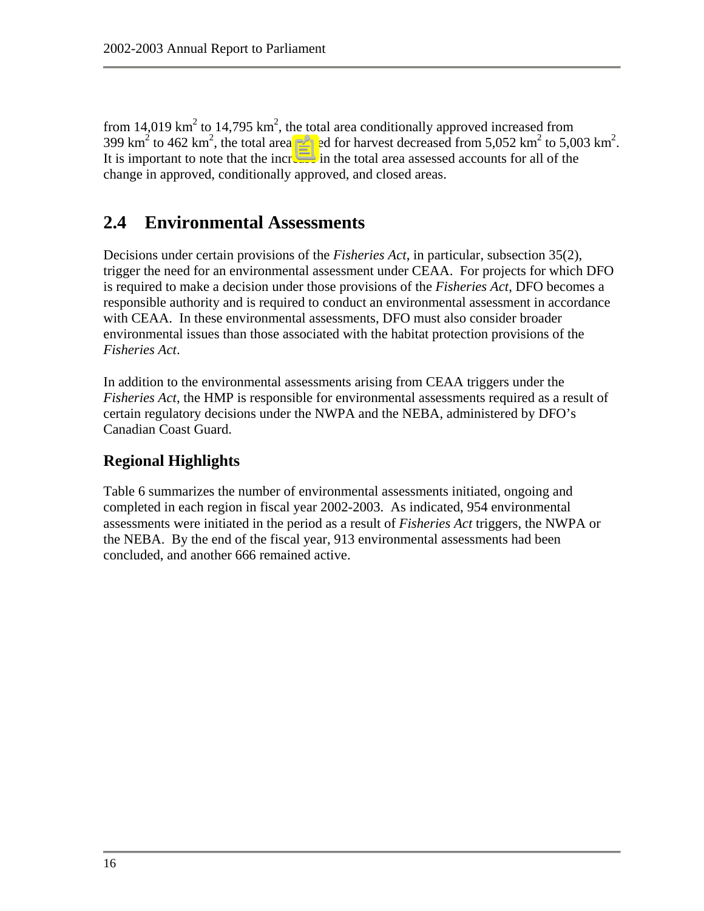<span id="page-23-0"></span>from 14,019 km<sup>2</sup> to 14,795 km<sup>2</sup>, the total area conditionally approved increased from 399 km<sup>2</sup> to 462 km<sup>2</sup>, the total area closed for harvest decreased from 5,052 km<sup>2</sup> to 5,003 km<sup>2</sup>. It is important to note that the increase in the total area assessed accounts for all of the change in approved, conditionally approved, and closed areas.

# **2.4 Environmental Assessments**

Decisions under certain provisions of the *Fisheries Act*, in particular, subsection 35(2), trigger the need for an environmental assessment under CEAA. For projects for which DFO is required to make a decision under those provisions of the *Fisheries Act*, DFO becomes a responsible authority and is required to conduct an environmental assessment in accordance with CEAA. In these environmental assessments, DFO must also consider broader environmental issues than those associated with the habitat protection provisions of the *Fisheries Act*.

In addition to the environmental assessments arising from CEAA triggers under the *Fisheries Act*, the HMP is responsible for environmental assessments required as a result of certain regulatory decisions under the NWPA and the NEBA, administered by DFO's Canadian Coast Guard.

## **Regional Highlights**

Table 6 summarizes the number of environmental assessments initiated, ongoing and completed in each region in fiscal year 2002-2003. As indicated, 954 environmental assessments were initiated in the period as a result of *Fisheries Act* triggers, the NWPA or the NEBA. By the end of the fiscal year, 913 environmental assessments had been concluded, and another 666 remained active.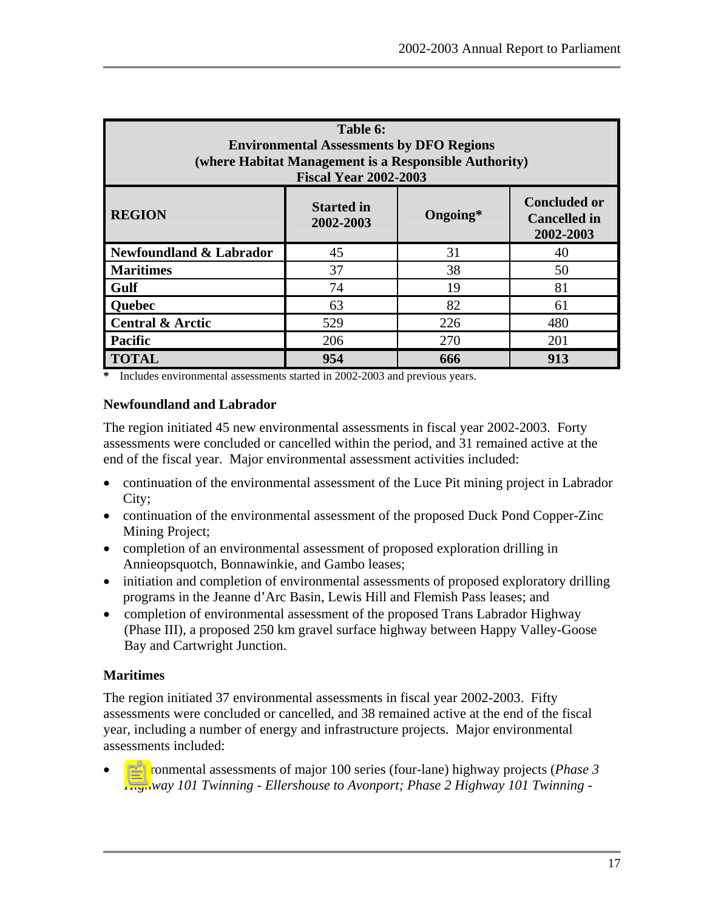<span id="page-24-0"></span>

| Table 6:<br><b>Environmental Assessments by DFO Regions</b><br>(where Habitat Management is a Responsible Authority)<br><b>Fiscal Year 2002-2003</b> |     |     |     |  |  |
|------------------------------------------------------------------------------------------------------------------------------------------------------|-----|-----|-----|--|--|
| <b>Concluded or</b><br><b>Started in</b><br><b>REGION</b><br>Ongoing*<br><b>Cancelled</b> in<br>2002-2003<br>2002-2003                               |     |     |     |  |  |
| Newfoundland & Labrador                                                                                                                              | 45  | 31  | 40  |  |  |
| <b>Maritimes</b>                                                                                                                                     | 37  | 38  | 50  |  |  |
| Gulf                                                                                                                                                 | 74  | 19  | 81  |  |  |
| Quebec                                                                                                                                               | 63  | 82  | 61  |  |  |
| <b>Central &amp; Arctic</b>                                                                                                                          | 529 | 226 | 480 |  |  |
| <b>Pacific</b>                                                                                                                                       | 206 | 270 | 201 |  |  |
| <b>TOTAL</b>                                                                                                                                         | 954 | 666 | 913 |  |  |

**\*** Includes environmental assessments started in 2002-2003 and previous years.

#### **Newfoundland and Labrador**

The region initiated 45 new environmental assessments in fiscal year 2002-2003. Forty assessments were concluded or cancelled within the period, and 31 remained active at the end of the fiscal year. Major environmental assessment activities included:

- continuation of the environmental assessment of the Luce Pit mining project in Labrador City;
- continuation of the environmental assessment of the proposed Duck Pond Copper-Zinc Mining Project;
- completion of an environmental assessment of proposed exploration drilling in Annieopsquotch, Bonnawinkie, and Gambo leases;
- initiation and completion of environmental assessments of proposed exploratory drilling programs in the Jeanne d'Arc Basin, Lewis Hill and Flemish Pass leases; and
- completion of environmental assessment of the proposed Trans Labrador Highway (Phase III), a proposed 250 km gravel surface highway between Happy Valley-Goose Bay and Cartwright Junction.

## **Maritimes**

The region initiated 37 environmental assessments in fiscal year 2002-2003. Fifty assessments were concluded or cancelled, and 38 remained active at the end of the fiscal year, including a number of energy and infrastructure projects. Major environmental assessments included:

• Environmental assessments of major 100 series (four-lane) highway projects (*Phase 3 Highway 101 Twinning - Ellershouse to Avonport; Phase 2 Highway 101 Twinning -*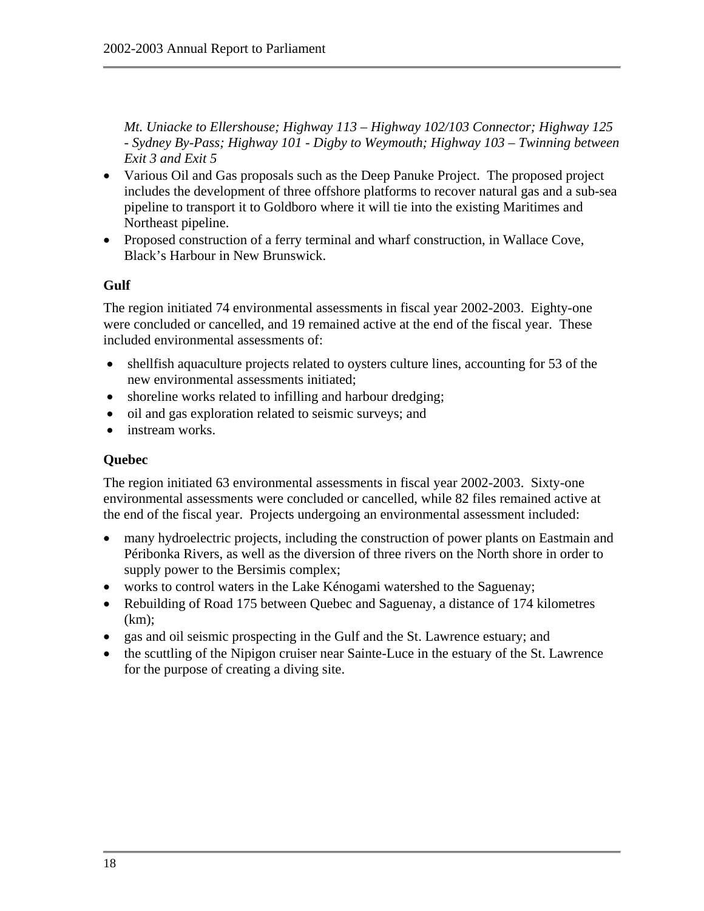*Mt. Uniacke to Ellershouse; Highway 113 – Highway 102/103 Connector; Highway 125 - Sydney By-Pass; Highway 101 - Digby to Weymouth; Highway 103 – Twinning between Exit 3 and Exit 5* 

- Various Oil and Gas proposals such as the Deep Panuke Project. The proposed project includes the development of three offshore platforms to recover natural gas and a sub-sea pipeline to transport it to Goldboro where it will tie into the existing Maritimes and Northeast pipeline.
- Proposed construction of a ferry terminal and wharf construction, in Wallace Cove, Black's Harbour in New Brunswick.

#### **Gulf**

The region initiated 74 environmental assessments in fiscal year 2002-2003. Eighty-one were concluded or cancelled, and 19 remained active at the end of the fiscal year. These included environmental assessments of:

- shell fish aquaculture projects related to oysters culture lines, accounting for 53 of the new environmental assessments initiated;
- shoreline works related to infilling and harbour dredging;
- oil and gas exploration related to seismic surveys; and
- instream works.

#### **Quebec**

The region initiated 63 environmental assessments in fiscal year 2002-2003. Sixty-one environmental assessments were concluded or cancelled, while 82 files remained active at the end of the fiscal year. Projects undergoing an environmental assessment included:

- many hydroelectric projects, including the construction of power plants on Eastmain and Péribonka Rivers, as well as the diversion of three rivers on the North shore in order to supply power to the Bersimis complex;
- works to control waters in the Lake Kénogami watershed to the Saguenay;
- Rebuilding of Road 175 between Quebec and Saguenay, a distance of 174 kilometres (km);
- gas and oil seismic prospecting in the Gulf and the St. Lawrence estuary; and
- the scuttling of the Nipigon cruiser near Sainte-Luce in the estuary of the St. Lawrence for the purpose of creating a diving site.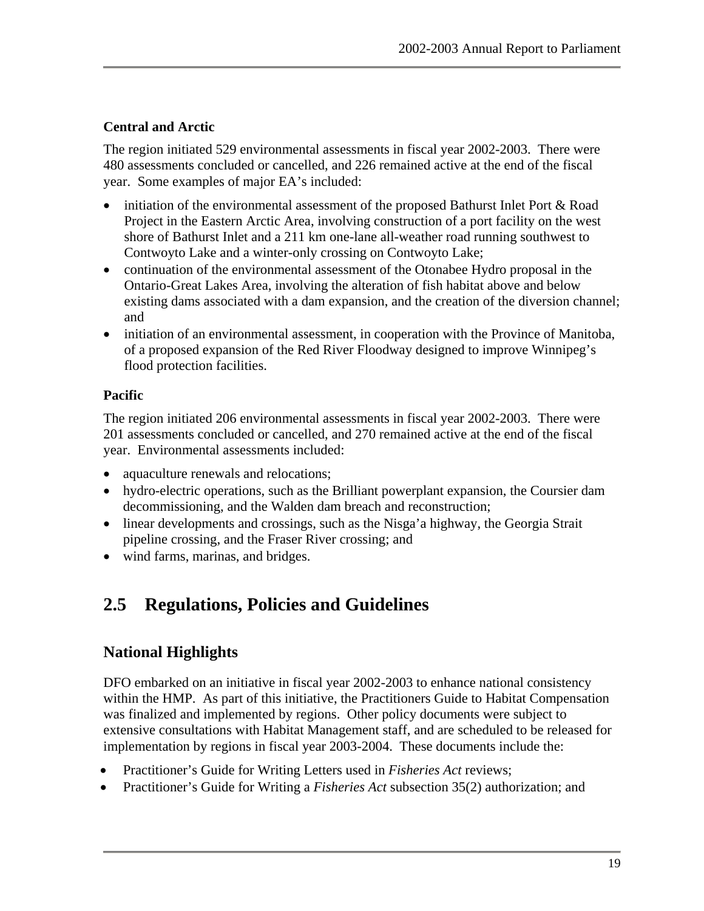#### <span id="page-26-0"></span>**Central and Arctic**

The region initiated 529 environmental assessments in fiscal year 2002-2003. There were 480 assessments concluded or cancelled, and 226 remained active at the end of the fiscal year. Some examples of major EA's included:

- initiation of the environmental assessment of the proposed Bathurst Inlet Port & Road Project in the Eastern Arctic Area, involving construction of a port facility on the west shore of Bathurst Inlet and a 211 km one-lane all-weather road running southwest to Contwoyto Lake and a winter-only crossing on Contwoyto Lake;
- continuation of the environmental assessment of the Otonabee Hydro proposal in the Ontario-Great Lakes Area, involving the alteration of fish habitat above and below existing dams associated with a dam expansion, and the creation of the diversion channel; and
- initiation of an environmental assessment, in cooperation with the Province of Manitoba, of a proposed expansion of the Red River Floodway designed to improve Winnipeg's flood protection facilities.

#### **Pacific**

The region initiated 206 environmental assessments in fiscal year 2002-2003. There were 201 assessments concluded or cancelled, and 270 remained active at the end of the fiscal year. Environmental assessments included:

- aquaculture renewals and relocations;
- hydro-electric operations, such as the Brilliant powerplant expansion, the Coursier dam decommissioning, and the Walden dam breach and reconstruction;
- linear developments and crossings, such as the Nisga'a highway, the Georgia Strait pipeline crossing, and the Fraser River crossing; and
- wind farms, marinas, and bridges.

# **2.5 Regulations, Policies and Guidelines**

## **National Highlights**

DFO embarked on an initiative in fiscal year 2002-2003 to enhance national consistency within the HMP. As part of this initiative, the Practitioners Guide to Habitat Compensation was finalized and implemented by regions. Other policy documents were subject to extensive consultations with Habitat Management staff, and are scheduled to be released for implementation by regions in fiscal year 2003-2004. These documents include the:

- Practitioner's Guide for Writing Letters used in *Fisheries Act* reviews;
- Practitioner's Guide for Writing a *Fisheries Act* subsection 35(2) authorization; and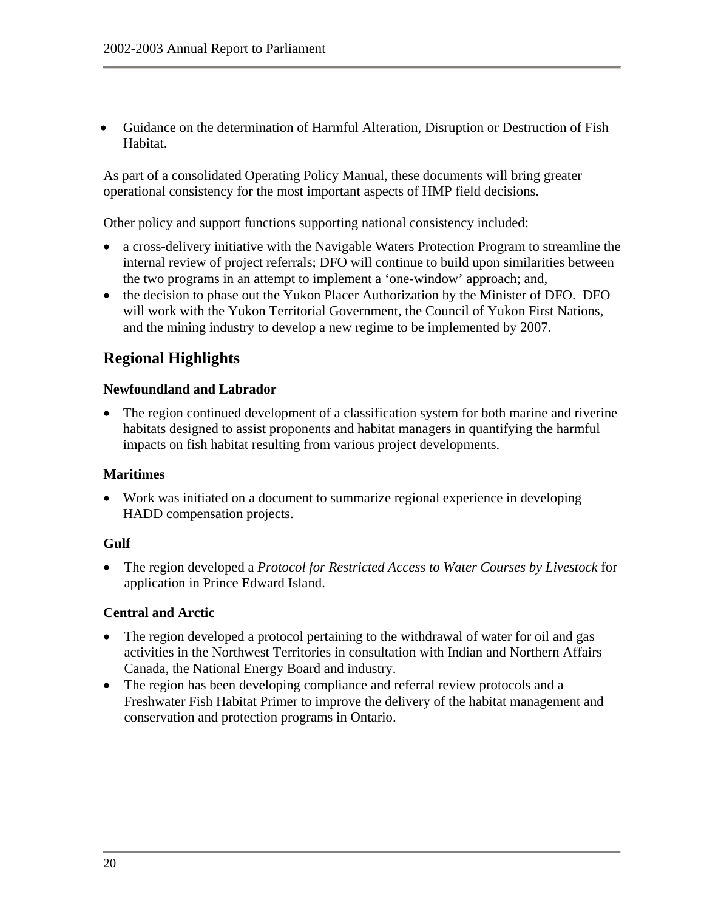• Guidance on the determination of Harmful Alteration, Disruption or Destruction of Fish Habitat.

As part of a consolidated Operating Policy Manual, these documents will bring greater operational consistency for the most important aspects of HMP field decisions.

Other policy and support functions supporting national consistency included:

- a cross-delivery initiative with the Navigable Waters Protection Program to streamline the internal review of project referrals; DFO will continue to build upon similarities between the two programs in an attempt to implement a 'one-window' approach; and,
- the decision to phase out the Yukon Placer Authorization by the Minister of DFO. DFO will work with the Yukon Territorial Government, the Council of Yukon First Nations, and the mining industry to develop a new regime to be implemented by 2007.

## **Regional Highlights**

#### **Newfoundland and Labrador**

• The region continued development of a classification system for both marine and riverine habitats designed to assist proponents and habitat managers in quantifying the harmful impacts on fish habitat resulting from various project developments.

#### **Maritimes**

• Work was initiated on a document to summarize regional experience in developing HADD compensation projects.

#### **Gulf**

• The region developed a *Protocol for Restricted Access to Water Courses by Livestock* for application in Prince Edward Island.

#### **Central and Arctic**

- The region developed a protocol pertaining to the withdrawal of water for oil and gas activities in the Northwest Territories in consultation with Indian and Northern Affairs Canada, the National Energy Board and industry.
- The region has been developing compliance and referral review protocols and a Freshwater Fish Habitat Primer to improve the delivery of the habitat management and conservation and protection programs in Ontario.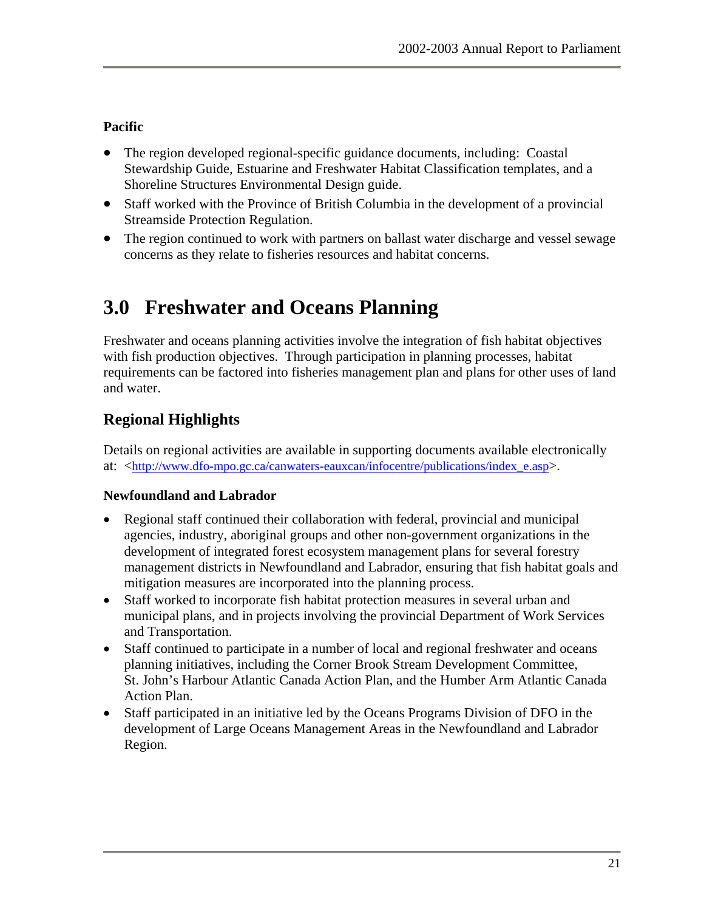## <span id="page-28-0"></span>**Pacific**

- The region developed regional-specific guidance documents, including: Coastal Stewardship Guide, Estuarine and Freshwater Habitat Classification templates, and a Shoreline Structures Environmental Design guide.
- Staff worked with the Province of British Columbia in the development of a provincial Streamside Protection Regulation.
- The region continued to work with partners on ballast water discharge and vessel sewage concerns as they relate to fisheries resources and habitat concerns.

# **3.0 Freshwater and Oceans Planning**

Freshwater and oceans planning activities involve the integration of fish habitat objectives with fish production objectives. Through participation in planning processes, habitat requirements can be factored into fisheries management plan and plans for other uses of land and water.

# **Regional Highlights**

Details on regional activities are available in supporting documents available electronically at: <[http://www.dfo-mpo.gc.ca/canwaters-eauxcan/infocentre/publications/index\\_e.asp>](http://www.dfo-mpo.gc.ca/canwaters-eauxcan/infocentre/publications/index_e.asp).

## **Newfoundland and Labrador**

- Regional staff continued their collaboration with federal, provincial and municipal agencies, industry, aboriginal groups and other non-government organizations in the development of integrated forest ecosystem management plans for several forestry management districts in Newfoundland and Labrador, ensuring that fish habitat goals and mitigation measures are incorporated into the planning process.
- Staff worked to incorporate fish habitat protection measures in several urban and municipal plans, and in projects involving the provincial Department of Work Services and Transportation.
- Staff continued to participate in a number of local and regional freshwater and oceans planning initiatives, including the Corner Brook Stream Development Committee, St. John's Harbour Atlantic Canada Action Plan, and the Humber Arm Atlantic Canada Action Plan.
- Staff participated in an initiative led by the Oceans Programs Division of DFO in the development of Large Oceans Management Areas in the Newfoundland and Labrador Region.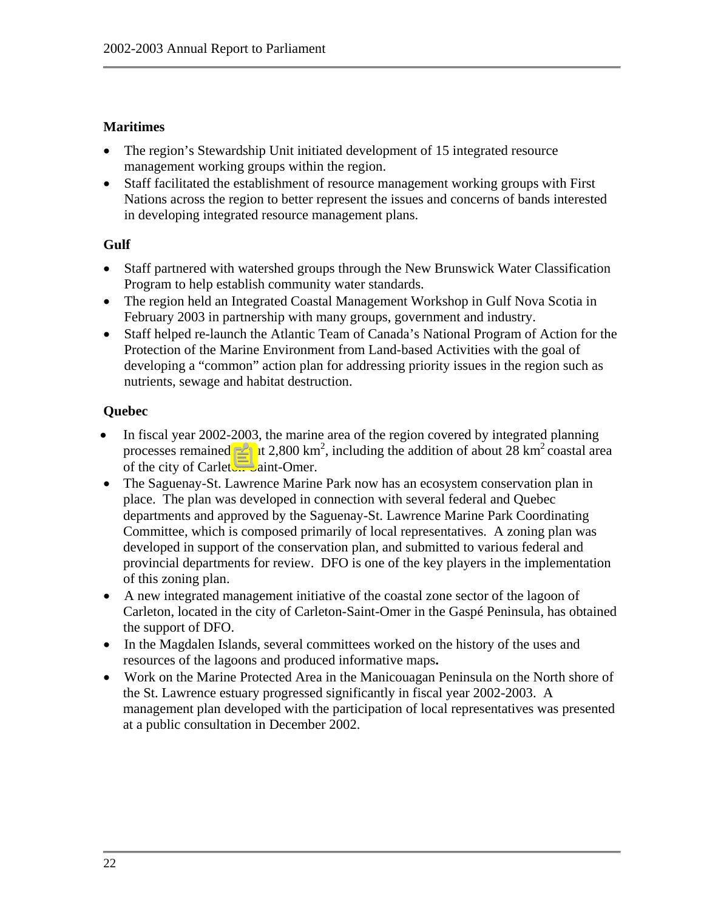#### **Maritimes**

- The region's Stewardship Unit initiated development of 15 integrated resource management working groups within the region.
- Staff facilitated the establishment of resource management working groups with First Nations across the region to better represent the issues and concerns of bands interested in developing integrated resource management plans.

#### **Gulf**

- Staff partnered with watershed groups through the New Brunswick Water Classification Program to help establish community water standards.
- The region held an Integrated Coastal Management Workshop in Gulf Nova Scotia in February 2003 in partnership with many groups, government and industry.
- Staff helped re-launch the Atlantic Team of Canada's National Program of Action for the Protection of the Marine Environment from Land-based Activities with the goal of developing a "common" action plan for addressing priority issues in the region such as nutrients, sewage and habitat destruction.

#### **Quebec**

- In fiscal year 2002-2003, the marine area of the region covered by integrated planning processes remained about 2,800 km<sup>2</sup>, including the addition of about 28 km<sup>2</sup> coastal area of the city of Carleton-Saint-Omer.
- The Saguenay-St. Lawrence Marine Park now has an ecosystem conservation plan in place. The plan was developed in connection with several federal and Quebec departments and approved by the Saguenay-St. Lawrence Marine Park Coordinating Committee, which is composed primarily of local representatives. A zoning plan was developed in support of the conservation plan, and submitted to various federal and provincial departments for review. DFO is one of the key players in the implementation of this zoning plan.
- A new integrated management initiative of the coastal zone sector of the lagoon of Carleton, located in the city of Carleton-Saint-Omer in the Gaspé Peninsula, has obtained the support of DFO.
- In the Magdalen Islands, several committees worked on the history of the uses and resources of the lagoons and produced informative maps**.**
- Work on the Marine Protected Area in the Manicouagan Peninsula on the North shore of the St. Lawrence estuary progressed significantly in fiscal year 2002-2003. A management plan developed with the participation of local representatives was presented at a public consultation in December 2002.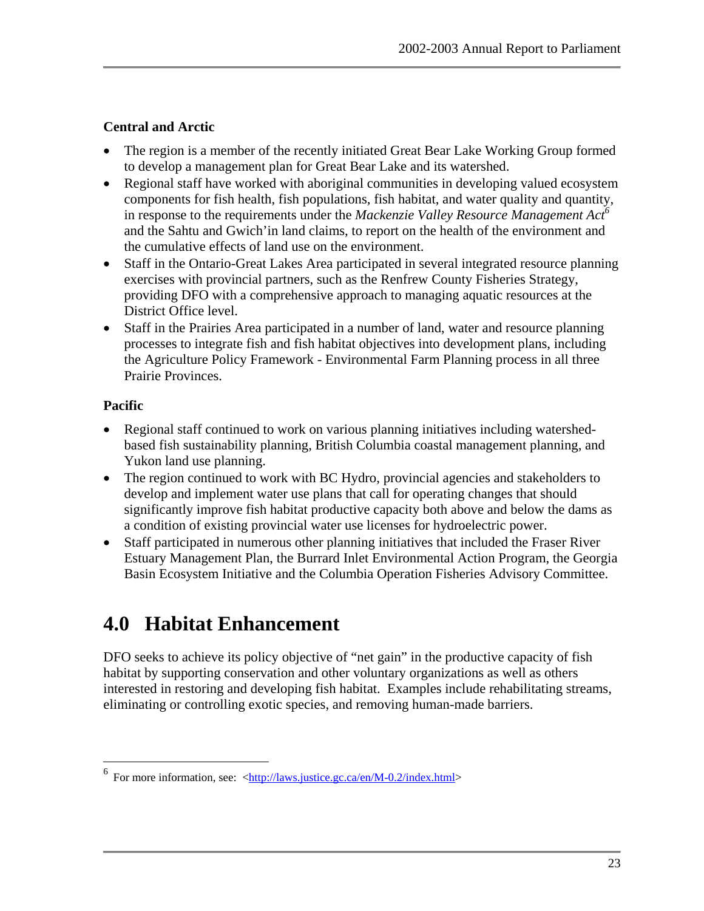#### <span id="page-30-0"></span>**Central and Arctic**

- The region is a member of the recently initiated Great Bear Lake Working Group formed to develop a management plan for Great Bear Lake and its watershed.
- Regional staff have worked with aboriginal communities in developing valued ecosystem components for fish health, fish populations, fish habitat, and water quality and quantity, in response to the requirements under the *Mackenzie Valley Resource Management Act*<sup>6</sup> and the Sahtu and Gwich'in land claims, to report on the health of the environment and the cumulative effects of land use on the environment.
- Staff in the Ontario-Great Lakes Area participated in several integrated resource planning exercises with provincial partners, such as the Renfrew County Fisheries Strategy, providing DFO with a comprehensive approach to managing aquatic resources at the District Office level.
- Staff in the Prairies Area participated in a number of land, water and resource planning processes to integrate fish and fish habitat objectives into development plans, including the Agriculture Policy Framework - Environmental Farm Planning process in all three Prairie Provinces.

#### **Pacific**

 $\overline{a}$ 

- Regional staff continued to work on various planning initiatives including watershedbased fish sustainability planning, British Columbia coastal management planning, and Yukon land use planning.
- The region continued to work with BC Hydro, provincial agencies and stakeholders to develop and implement water use plans that call for operating changes that should significantly improve fish habitat productive capacity both above and below the dams as a condition of existing provincial water use licenses for hydroelectric power.
- Staff participated in numerous other planning initiatives that included the Fraser River Estuary Management Plan, the Burrard Inlet Environmental Action Program, the Georgia Basin Ecosystem Initiative and the Columbia Operation Fisheries Advisory Committee.

# **4.0 Habitat Enhancement**

DFO seeks to achieve its policy objective of "net gain" in the productive capacity of fish habitat by supporting conservation and other voluntary organizations as well as others interested in restoring and developing fish habitat. Examples include rehabilitating streams, eliminating or controlling exotic species, and removing human-made barriers.

<span id="page-30-1"></span><sup>&</sup>lt;sup>6</sup> For more information, see:  $\frac{\text{http://laws.justice.gc.ca/en/M-0.2/index.html}{\text{http://laws.justice.gc.ca/en/M-0.2/index.html}}$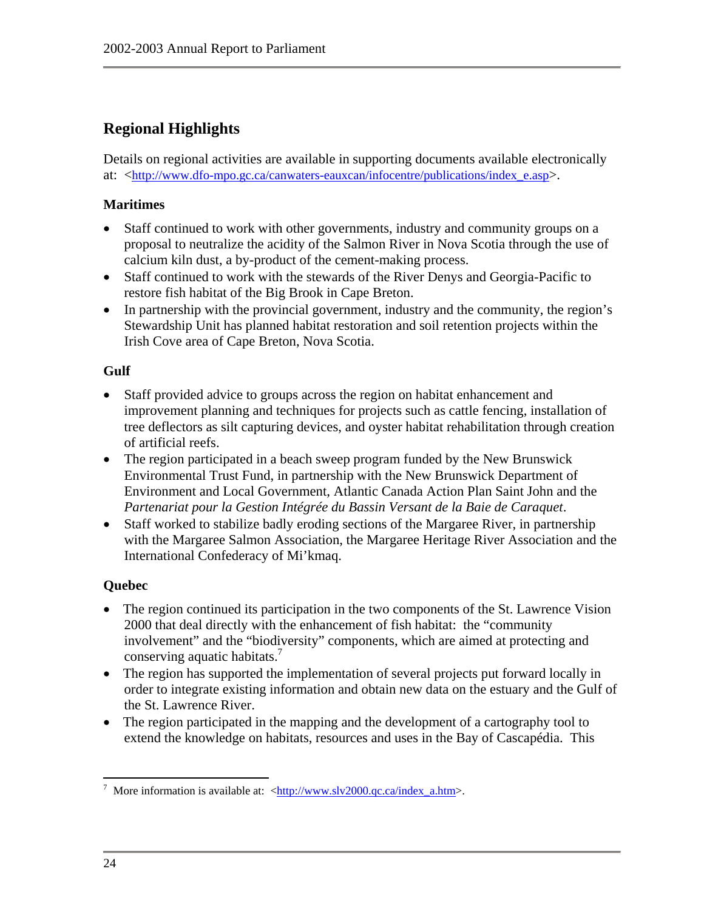# **Regional Highlights**

Details on regional activities are available in supporting documents available electronically at: <[http://www.dfo-mpo.gc.ca/canwaters-eauxcan/infocentre/publications/index\\_e.asp>](http://www.dfo-mpo.gc.ca/canwaters-eauxcan/infocentre/publications/index_e.asp).

#### **Maritimes**

- Staff continued to work with other governments, industry and community groups on a proposal to neutralize the acidity of the Salmon River in Nova Scotia through the use of calcium kiln dust, a by-product of the cement-making process.
- Staff continued to work with the stewards of the River Denys and Georgia-Pacific to restore fish habitat of the Big Brook in Cape Breton.
- In partnership with the provincial government, industry and the community, the region's Stewardship Unit has planned habitat restoration and soil retention projects within the Irish Cove area of Cape Breton, Nova Scotia.

#### **Gulf**

- Staff provided advice to groups across the region on habitat enhancement and improvement planning and techniques for projects such as cattle fencing, installation of tree deflectors as silt capturing devices, and oyster habitat rehabilitation through creation of artificial reefs.
- The region participated in a beach sweep program funded by the New Brunswick Environmental Trust Fund, in partnership with the New Brunswick Department of Environment and Local Government, Atlantic Canada Action Plan Saint John and the *Partenariat pour la Gestion Intégrée du Bassin Versant de la Baie de Caraquet*.
- Staff worked to stabilize badly eroding sections of the Margaree River, in partnership with the Margaree Salmon Association, the Margaree Heritage River Association and the International Confederacy of Mi'kmaq.

#### **Quebec**

- The region continued its participation in the two components of the St. Lawrence Vision 2000 that deal directly with the enhancement of fish habitat: the "community involvement" and the "biodiversity" components, which are aimed at protecting and conserving aquatic habitats.<sup>[7](#page-31-0)</sup>
- The region has supported the implementation of several projects put forward locally in order to integrate existing information and obtain new data on the estuary and the Gulf of the St. Lawrence River.
- The region participated in the mapping and the development of a cartography tool to extend the knowledge on habitats, resources and uses in the Bay of Cascapédia. This

<span id="page-31-0"></span><sup>1</sup> <sup>7</sup> More information is available at:  $\langle \frac{http://www.slv2000.qc.ca/index_a.htm\rangle}{$  $\langle \frac{http://www.slv2000.qc.ca/index_a.htm\rangle}{$  $\langle \frac{http://www.slv2000.qc.ca/index_a.htm\rangle}{$ .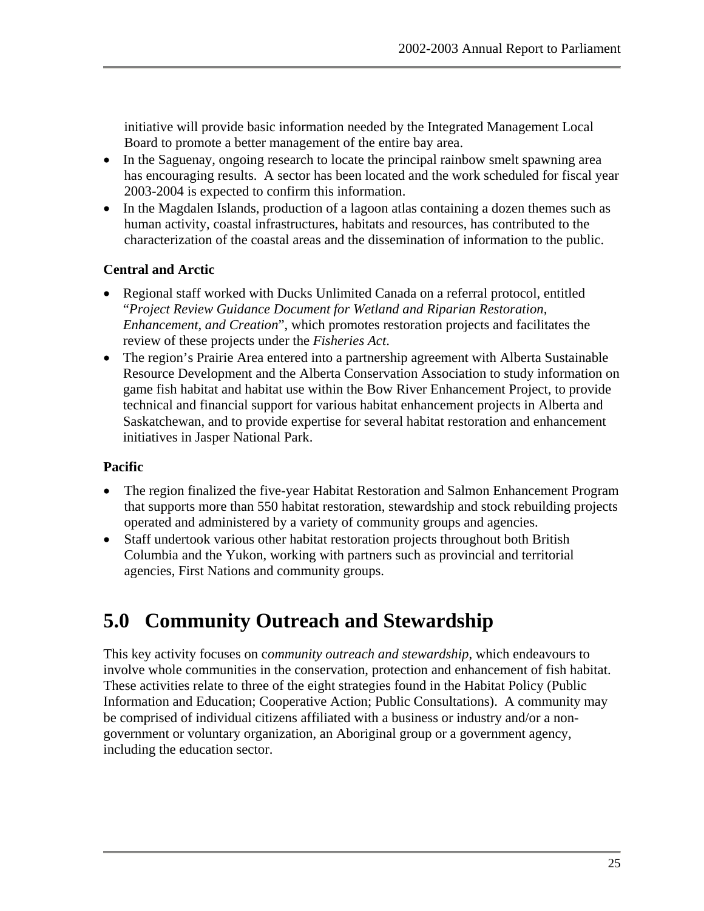<span id="page-32-0"></span>initiative will provide basic information needed by the Integrated Management Local Board to promote a better management of the entire bay area.

- In the Saguenay, ongoing research to locate the principal rainbow smelt spawning area has encouraging results. A sector has been located and the work scheduled for fiscal year 2003-2004 is expected to confirm this information.
- In the Magdalen Islands, production of a lagoon atlas containing a dozen themes such as human activity, coastal infrastructures, habitats and resources, has contributed to the characterization of the coastal areas and the dissemination of information to the public.

#### **Central and Arctic**

- Regional staff worked with Ducks Unlimited Canada on a referral protocol, entitled "*Project Review Guidance Document for Wetland and Riparian Restoration, Enhancement, and Creation*", which promotes restoration projects and facilitates the review of these projects under the *Fisheries Act*.
- The region's Prairie Area entered into a partnership agreement with Alberta Sustainable Resource Development and the Alberta Conservation Association to study information on game fish habitat and habitat use within the Bow River Enhancement Project, to provide technical and financial support for various habitat enhancement projects in Alberta and Saskatchewan, and to provide expertise for several habitat restoration and enhancement initiatives in Jasper National Park.

#### **Pacific**

- The region finalized the five-year Habitat Restoration and Salmon Enhancement Program that supports more than 550 habitat restoration, stewardship and stock rebuilding projects operated and administered by a variety of community groups and agencies.
- Staff undertook various other habitat restoration projects throughout both British Columbia and the Yukon, working with partners such as provincial and territorial agencies, First Nations and community groups.

# **5.0 Community Outreach and Stewardship**

This key activity focuses on c*ommunity outreach and stewardship*, which endeavours to involve whole communities in the conservation, protection and enhancement of fish habitat. These activities relate to three of the eight strategies found in the Habitat Policy (Public Information and Education; Cooperative Action; Public Consultations). A community may be comprised of individual citizens affiliated with a business or industry and/or a nongovernment or voluntary organization, an Aboriginal group or a government agency, including the education sector.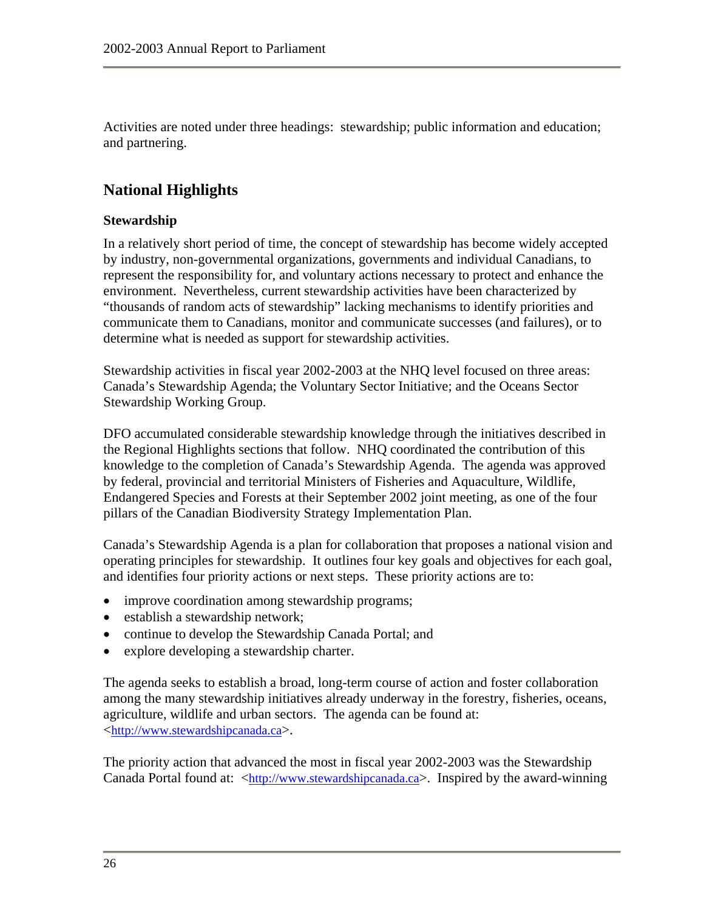Activities are noted under three headings: stewardship; public information and education; and partnering.

## **National Highlights**

#### **Stewardship**

In a relatively short period of time, the concept of stewardship has become widely accepted by industry, non-governmental organizations, governments and individual Canadians, to represent the responsibility for, and voluntary actions necessary to protect and enhance the environment. Nevertheless, current stewardship activities have been characterized by "thousands of random acts of stewardship" lacking mechanisms to identify priorities and communicate them to Canadians, monitor and communicate successes (and failures), or to determine what is needed as support for stewardship activities.

Stewardship activities in fiscal year 2002-2003 at the NHQ level focused on three areas: Canada's Stewardship Agenda; the Voluntary Sector Initiative; and the Oceans Sector Stewardship Working Group.

DFO accumulated considerable stewardship knowledge through the initiatives described in the Regional Highlights sections that follow. NHQ coordinated the contribution of this knowledge to the completion of Canada's Stewardship Agenda. The agenda was approved by federal, provincial and territorial Ministers of Fisheries and Aquaculture, Wildlife, Endangered Species and Forests at their September 2002 joint meeting, as one of the four pillars of the Canadian Biodiversity Strategy Implementation Plan.

Canada's Stewardship Agenda is a plan for collaboration that proposes a national vision and operating principles for stewardship. It outlines four key goals and objectives for each goal, and identifies four priority actions or next steps. These priority actions are to:

- improve coordination among stewardship programs;
- establish a stewardship network;
- continue to develop the Stewardship Canada Portal; and
- explore developing a stewardship charter.

The agenda seeks to establish a broad, long-term course of action and foster collaboration among the many stewardship initiatives already underway in the forestry, fisheries, oceans, agriculture, wildlife and urban sectors. The agenda can be found at: <[http://www.stewardshipcanada.ca](http://www.stewardshipcanada.ca/)>.

The priority action that advanced the most in fiscal year 2002-2003 was the Stewardship Canada Portal found at: [<http://www.stewardshipcanada.ca>](http://www.stewardshipcanada.ca/). Inspired by the award-winning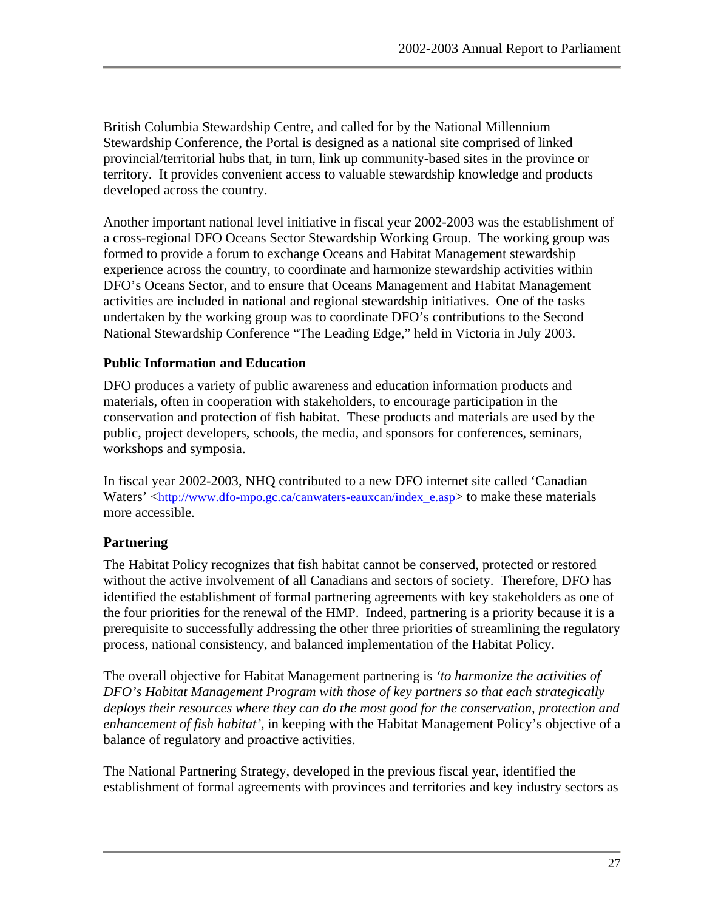British Columbia Stewardship Centre, and called for by the National Millennium Stewardship Conference, the Portal is designed as a national site comprised of linked provincial/territorial hubs that, in turn, link up community-based sites in the province or territory. It provides convenient access to valuable stewardship knowledge and products developed across the country.

Another important national level initiative in fiscal year 2002-2003 was the establishment of a cross-regional DFO Oceans Sector Stewardship Working Group. The working group was formed to provide a forum to exchange Oceans and Habitat Management stewardship experience across the country, to coordinate and harmonize stewardship activities within DFO's Oceans Sector, and to ensure that Oceans Management and Habitat Management activities are included in national and regional stewardship initiatives. One of the tasks undertaken by the working group was to coordinate DFO's contributions to the Second National Stewardship Conference "The Leading Edge," held in Victoria in July 2003.

#### **Public Information and Education**

DFO produces a variety of public awareness and education information products and materials, often in cooperation with stakeholders, to encourage participation in the conservation and protection of fish habitat. These products and materials are used by the public, project developers, schools, the media, and sponsors for conferences, seminars, workshops and symposia.

In fiscal year 2002-2003, NHQ contributed to a new DFO internet site called 'Canadian Waters' <[http://www.dfo-mpo.gc.ca/canwaters-eauxcan/index\\_e.asp](http://www.dfo-mpo.gc.ca/canwaters-eauxcan/index_e.asp)> to make these materials more accessible.

#### **Partnering**

The Habitat Policy recognizes that fish habitat cannot be conserved, protected or restored without the active involvement of all Canadians and sectors of society. Therefore, DFO has identified the establishment of formal partnering agreements with key stakeholders as one of the four priorities for the renewal of the HMP. Indeed, partnering is a priority because it is a prerequisite to successfully addressing the other three priorities of streamlining the regulatory process, national consistency, and balanced implementation of the Habitat Policy.

The overall objective for Habitat Management partnering is *'to harmonize the activities of DFO's Habitat Management Program with those of key partners so that each strategically deploys their resources where they can do the most good for the conservation, protection and enhancement of fish habitat'*, in keeping with the Habitat Management Policy's objective of a balance of regulatory and proactive activities.

The National Partnering Strategy, developed in the previous fiscal year, identified the establishment of formal agreements with provinces and territories and key industry sectors as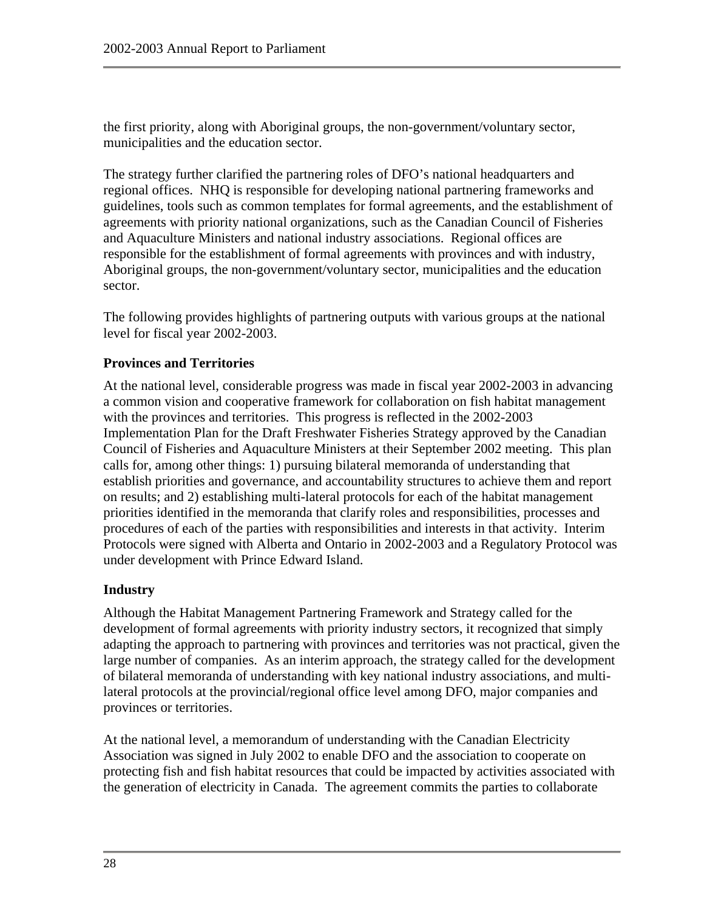the first priority, along with Aboriginal groups, the non-government/voluntary sector, municipalities and the education sector.

The strategy further clarified the partnering roles of DFO's national headquarters and regional offices. NHQ is responsible for developing national partnering frameworks and guidelines, tools such as common templates for formal agreements, and the establishment of agreements with priority national organizations, such as the Canadian Council of Fisheries and Aquaculture Ministers and national industry associations. Regional offices are responsible for the establishment of formal agreements with provinces and with industry, Aboriginal groups, the non-government/voluntary sector, municipalities and the education sector.

The following provides highlights of partnering outputs with various groups at the national level for fiscal year 2002-2003.

#### **Provinces and Territories**

At the national level, considerable progress was made in fiscal year 2002-2003 in advancing a common vision and cooperative framework for collaboration on fish habitat management with the provinces and territories. This progress is reflected in the 2002-2003 Implementation Plan for the Draft Freshwater Fisheries Strategy approved by the Canadian Council of Fisheries and Aquaculture Ministers at their September 2002 meeting. This plan calls for, among other things: 1) pursuing bilateral memoranda of understanding that establish priorities and governance, and accountability structures to achieve them and report on results; and 2) establishing multi-lateral protocols for each of the habitat management priorities identified in the memoranda that clarify roles and responsibilities, processes and procedures of each of the parties with responsibilities and interests in that activity. Interim Protocols were signed with Alberta and Ontario in 2002-2003 and a Regulatory Protocol was under development with Prince Edward Island.

#### **Industry**

Although the Habitat Management Partnering Framework and Strategy called for the development of formal agreements with priority industry sectors, it recognized that simply adapting the approach to partnering with provinces and territories was not practical, given the large number of companies. As an interim approach, the strategy called for the development of bilateral memoranda of understanding with key national industry associations, and multilateral protocols at the provincial/regional office level among DFO, major companies and provinces or territories.

At the national level, a memorandum of understanding with the Canadian Electricity Association was signed in July 2002 to enable DFO and the association to cooperate on protecting fish and fish habitat resources that could be impacted by activities associated with the generation of electricity in Canada. The agreement commits the parties to collaborate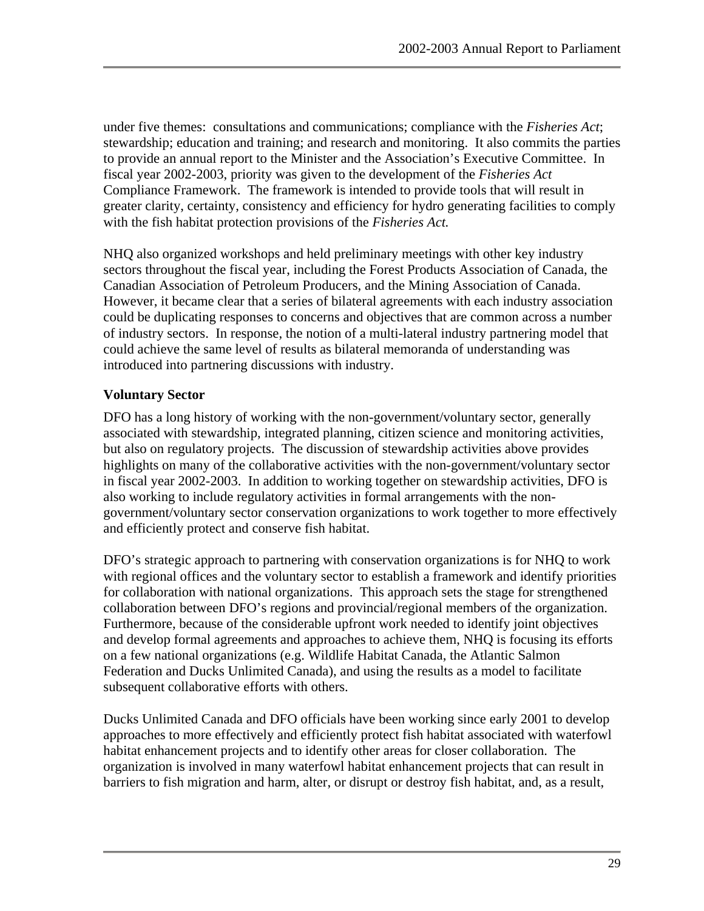under five themes: consultations and communications; compliance with the *Fisheries Act*; stewardship; education and training; and research and monitoring. It also commits the parties to provide an annual report to the Minister and the Association's Executive Committee. In fiscal year 2002-2003, priority was given to the development of the *Fisheries Act* Compliance Framework. The framework is intended to provide tools that will result in greater clarity, certainty, consistency and efficiency for hydro generating facilities to comply with the fish habitat protection provisions of the *Fisheries Act.*

NHQ also organized workshops and held preliminary meetings with other key industry sectors throughout the fiscal year, including the Forest Products Association of Canada, the Canadian Association of Petroleum Producers, and the Mining Association of Canada. However, it became clear that a series of bilateral agreements with each industry association could be duplicating responses to concerns and objectives that are common across a number of industry sectors. In response, the notion of a multi-lateral industry partnering model that could achieve the same level of results as bilateral memoranda of understanding was introduced into partnering discussions with industry.

#### **Voluntary Sector**

DFO has a long history of working with the non-government/voluntary sector, generally associated with stewardship, integrated planning, citizen science and monitoring activities, but also on regulatory projects. The discussion of stewardship activities above provides highlights on many of the collaborative activities with the non-government/voluntary sector in fiscal year 2002-2003. In addition to working together on stewardship activities, DFO is also working to include regulatory activities in formal arrangements with the nongovernment/voluntary sector conservation organizations to work together to more effectively and efficiently protect and conserve fish habitat.

DFO's strategic approach to partnering with conservation organizations is for NHQ to work with regional offices and the voluntary sector to establish a framework and identify priorities for collaboration with national organizations. This approach sets the stage for strengthened collaboration between DFO's regions and provincial/regional members of the organization. Furthermore, because of the considerable upfront work needed to identify joint objectives and develop formal agreements and approaches to achieve them, NHQ is focusing its efforts on a few national organizations (e.g. Wildlife Habitat Canada, the Atlantic Salmon Federation and Ducks Unlimited Canada), and using the results as a model to facilitate subsequent collaborative efforts with others.

Ducks Unlimited Canada and DFO officials have been working since early 2001 to develop approaches to more effectively and efficiently protect fish habitat associated with waterfowl habitat enhancement projects and to identify other areas for closer collaboration. The organization is involved in many waterfowl habitat enhancement projects that can result in barriers to fish migration and harm, alter, or disrupt or destroy fish habitat, and, as a result,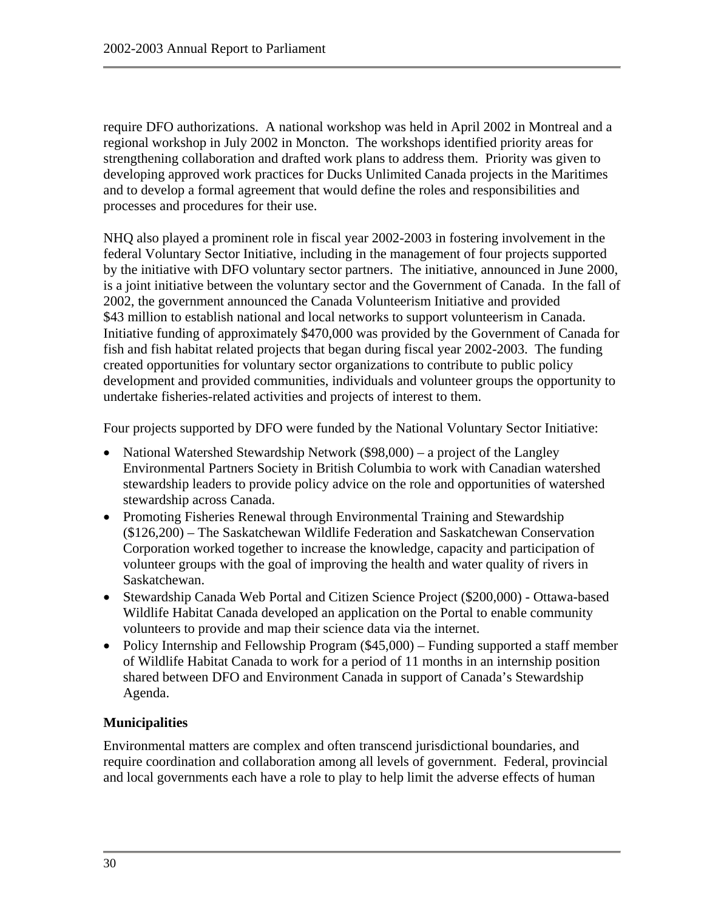require DFO authorizations. A national workshop was held in April 2002 in Montreal and a regional workshop in July 2002 in Moncton. The workshops identified priority areas for strengthening collaboration and drafted work plans to address them. Priority was given to developing approved work practices for Ducks Unlimited Canada projects in the Maritimes and to develop a formal agreement that would define the roles and responsibilities and processes and procedures for their use.

NHQ also played a prominent role in fiscal year 2002-2003 in fostering involvement in the federal Voluntary Sector Initiative, including in the management of four projects supported by the initiative with DFO voluntary sector partners. The initiative, announced in June 2000, is a joint initiative between the voluntary sector and the Government of Canada. In the fall of 2002, the government announced the Canada Volunteerism Initiative and provided \$43 million to establish national and local networks to support volunteerism in Canada. Initiative funding of approximately \$470,000 was provided by the Government of Canada for fish and fish habitat related projects that began during fiscal year 2002-2003. The funding created opportunities for voluntary sector organizations to contribute to public policy development and provided communities, individuals and volunteer groups the opportunity to undertake fisheries-related activities and projects of interest to them.

Four projects supported by DFO were funded by the National Voluntary Sector Initiative:

- National Watershed Stewardship Network (\$98,000) a project of the Langley Environmental Partners Society in British Columbia to work with Canadian watershed stewardship leaders to provide policy advice on the role and opportunities of watershed stewardship across Canada.
- Promoting Fisheries Renewal through Environmental Training and Stewardship (\$126,200) – The Saskatchewan Wildlife Federation and Saskatchewan Conservation Corporation worked together to increase the knowledge, capacity and participation of volunteer groups with the goal of improving the health and water quality of rivers in Saskatchewan.
- Stewardship Canada Web Portal and Citizen Science Project (\$200,000) Ottawa-based Wildlife Habitat Canada developed an application on the Portal to enable community volunteers to provide and map their science data via the internet.
- Policy Internship and Fellowship Program (\$45,000) Funding supported a staff member of Wildlife Habitat Canada to work for a period of 11 months in an internship position shared between DFO and Environment Canada in support of Canada's Stewardship Agenda.

## **Municipalities**

Environmental matters are complex and often transcend jurisdictional boundaries, and require coordination and collaboration among all levels of government. Federal, provincial and local governments each have a role to play to help limit the adverse effects of human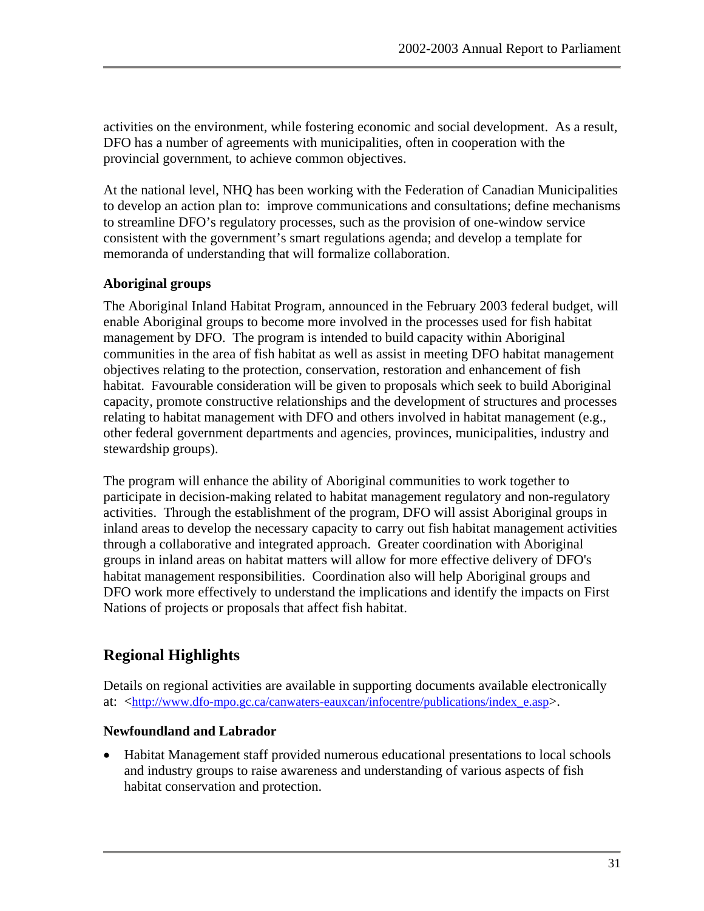activities on the environment, while fostering economic and social development. As a result, DFO has a number of agreements with municipalities, often in cooperation with the provincial government, to achieve common objectives.

At the national level, NHQ has been working with the Federation of Canadian Municipalities to develop an action plan to: improve communications and consultations; define mechanisms to streamline DFO's regulatory processes, such as the provision of one-window service consistent with the government's smart regulations agenda; and develop a template for memoranda of understanding that will formalize collaboration.

#### **Aboriginal groups**

The Aboriginal Inland Habitat Program, announced in the February 2003 federal budget, will enable Aboriginal groups to become more involved in the processes used for fish habitat management by DFO. The program is intended to build capacity within Aboriginal communities in the area of fish habitat as well as assist in meeting DFO habitat management objectives relating to the protection, conservation, restoration and enhancement of fish habitat. Favourable consideration will be given to proposals which seek to build Aboriginal capacity, promote constructive relationships and the development of structures and processes relating to habitat management with DFO and others involved in habitat management (e.g., other federal government departments and agencies, provinces, municipalities, industry and stewardship groups).

The program will enhance the ability of Aboriginal communities to work together to participate in decision-making related to habitat management regulatory and non-regulatory activities. Through the establishment of the program, DFO will assist Aboriginal groups in inland areas to develop the necessary capacity to carry out fish habitat management activities through a collaborative and integrated approach. Greater coordination with Aboriginal groups in inland areas on habitat matters will allow for more effective delivery of DFO's habitat management responsibilities. Coordination also will help Aboriginal groups and DFO work more effectively to understand the implications and identify the impacts on First Nations of projects or proposals that affect fish habitat.

## **Regional Highlights**

Details on regional activities are available in supporting documents available electronically at: <[http://www.dfo-mpo.gc.ca/canwaters-eauxcan/infocentre/publications/index\\_e.asp>](http://www.dfo-mpo.gc.ca/canwaters-eauxcan/infocentre/publications/index_e.asp).

#### **Newfoundland and Labrador**

• Habitat Management staff provided numerous educational presentations to local schools and industry groups to raise awareness and understanding of various aspects of fish habitat conservation and protection.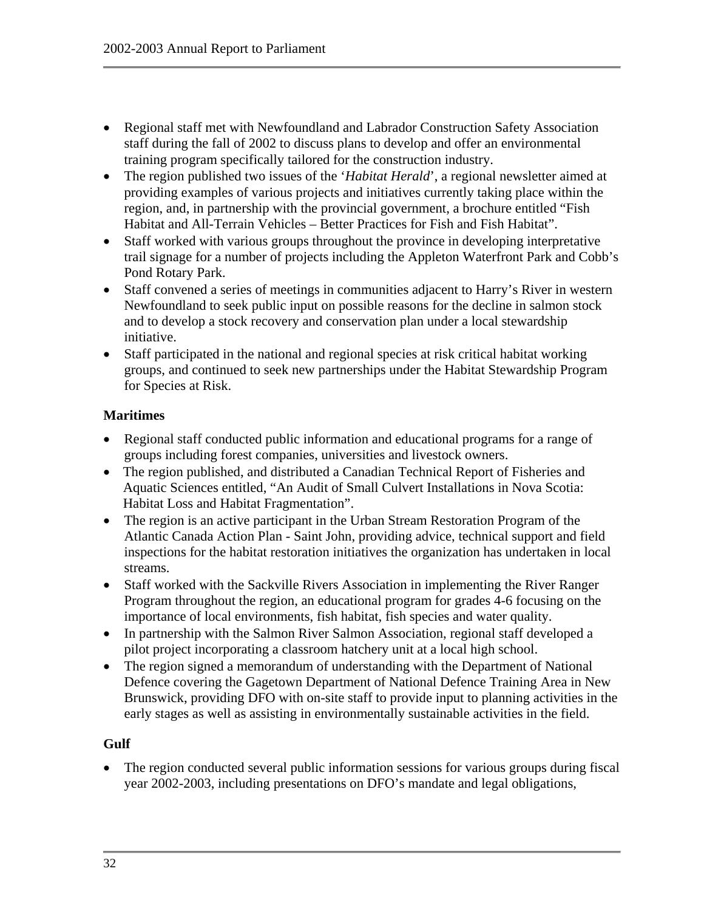- Regional staff met with Newfoundland and Labrador Construction Safety Association staff during the fall of 2002 to discuss plans to develop and offer an environmental training program specifically tailored for the construction industry.
- The region published two issues of the '*Habitat Herald*', a regional newsletter aimed at providing examples of various projects and initiatives currently taking place within the region, and, in partnership with the provincial government, a brochure entitled "Fish Habitat and All-Terrain Vehicles – Better Practices for Fish and Fish Habitat".
- Staff worked with various groups throughout the province in developing interpretative trail signage for a number of projects including the Appleton Waterfront Park and Cobb's Pond Rotary Park.
- Staff convened a series of meetings in communities adjacent to Harry's River in western Newfoundland to seek public input on possible reasons for the decline in salmon stock and to develop a stock recovery and conservation plan under a local stewardship initiative.
- Staff participated in the national and regional species at risk critical habitat working groups, and continued to seek new partnerships under the Habitat Stewardship Program for Species at Risk.

#### **Maritimes**

- Regional staff conducted public information and educational programs for a range of groups including forest companies, universities and livestock owners.
- The region published, and distributed a Canadian Technical Report of Fisheries and Aquatic Sciences entitled, "An Audit of Small Culvert Installations in Nova Scotia: Habitat Loss and Habitat Fragmentation".
- The region is an active participant in the Urban Stream Restoration Program of the Atlantic Canada Action Plan - Saint John, providing advice, technical support and field inspections for the habitat restoration initiatives the organization has undertaken in local streams.
- Staff worked with the Sackville Rivers Association in implementing the River Ranger Program throughout the region, an educational program for grades 4-6 focusing on the importance of local environments, fish habitat, fish species and water quality.
- In partnership with the Salmon River Salmon Association, regional staff developed a pilot project incorporating a classroom hatchery unit at a local high school.
- The region signed a memorandum of understanding with the Department of National Defence covering the Gagetown Department of National Defence Training Area in New Brunswick, providing DFO with on-site staff to provide input to planning activities in the early stages as well as assisting in environmentally sustainable activities in the field.

#### **Gulf**

• The region conducted several public information sessions for various groups during fiscal year 2002-2003, including presentations on DFO's mandate and legal obligations,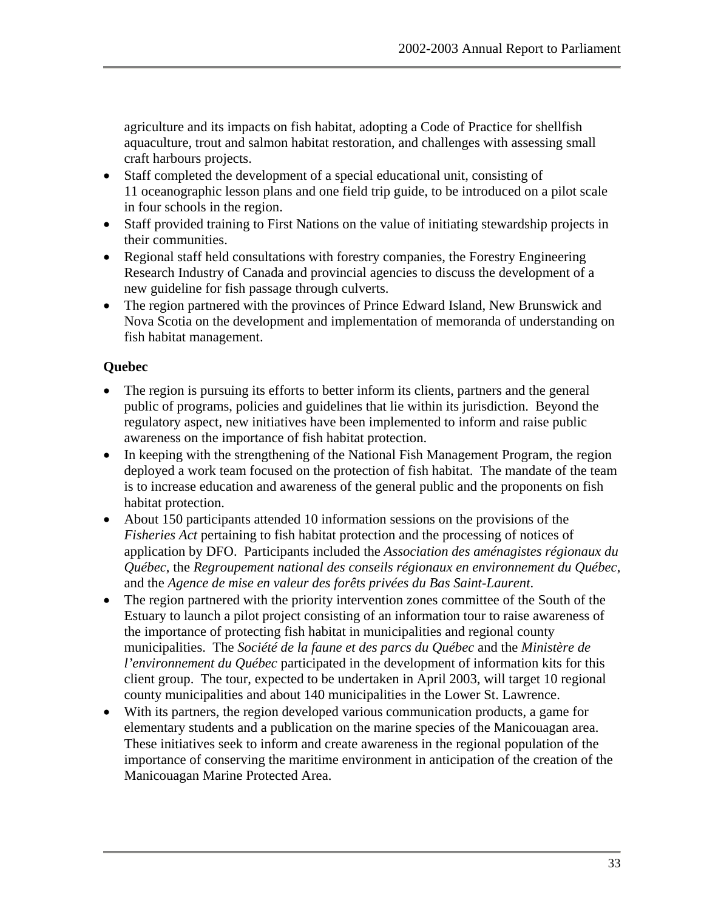agriculture and its impacts on fish habitat, adopting a Code of Practice for shellfish aquaculture, trout and salmon habitat restoration, and challenges with assessing small craft harbours projects.

- Staff completed the development of a special educational unit, consisting of 11 oceanographic lesson plans and one field trip guide, to be introduced on a pilot scale in four schools in the region.
- Staff provided training to First Nations on the value of initiating stewardship projects in their communities.
- Regional staff held consultations with forestry companies, the Forestry Engineering Research Industry of Canada and provincial agencies to discuss the development of a new guideline for fish passage through culverts.
- The region partnered with the provinces of Prince Edward Island, New Brunswick and Nova Scotia on the development and implementation of memoranda of understanding on fish habitat management.

## **Quebec**

- The region is pursuing its efforts to better inform its clients, partners and the general public of programs, policies and guidelines that lie within its jurisdiction. Beyond the regulatory aspect, new initiatives have been implemented to inform and raise public awareness on the importance of fish habitat protection.
- In keeping with the strengthening of the National Fish Management Program, the region deployed a work team focused on the protection of fish habitat. The mandate of the team is to increase education and awareness of the general public and the proponents on fish habitat protection.
- About 150 participants attended 10 information sessions on the provisions of the *Fisheries Act* pertaining to fish habitat protection and the processing of notices of application by DFO. Participants included the *Association des aménagistes régionaux du Québec*, the *Regroupement national des conseils régionaux en environnement du Québec*, and the *Agence de mise en valeur des forêts privées du Bas Saint-Laurent*.
- The region partnered with the priority intervention zones committee of the South of the Estuary to launch a pilot project consisting of an information tour to raise awareness of the importance of protecting fish habitat in municipalities and regional county municipalities. The *Société de la faune et des parcs du Québec* and the *Ministère de l'environnement du Québec* participated in the development of information kits for this client group. The tour, expected to be undertaken in April 2003, will target 10 regional county municipalities and about 140 municipalities in the Lower St. Lawrence.
- With its partners, the region developed various communication products, a game for elementary students and a publication on the marine species of the Manicouagan area. These initiatives seek to inform and create awareness in the regional population of the importance of conserving the maritime environment in anticipation of the creation of the Manicouagan Marine Protected Area.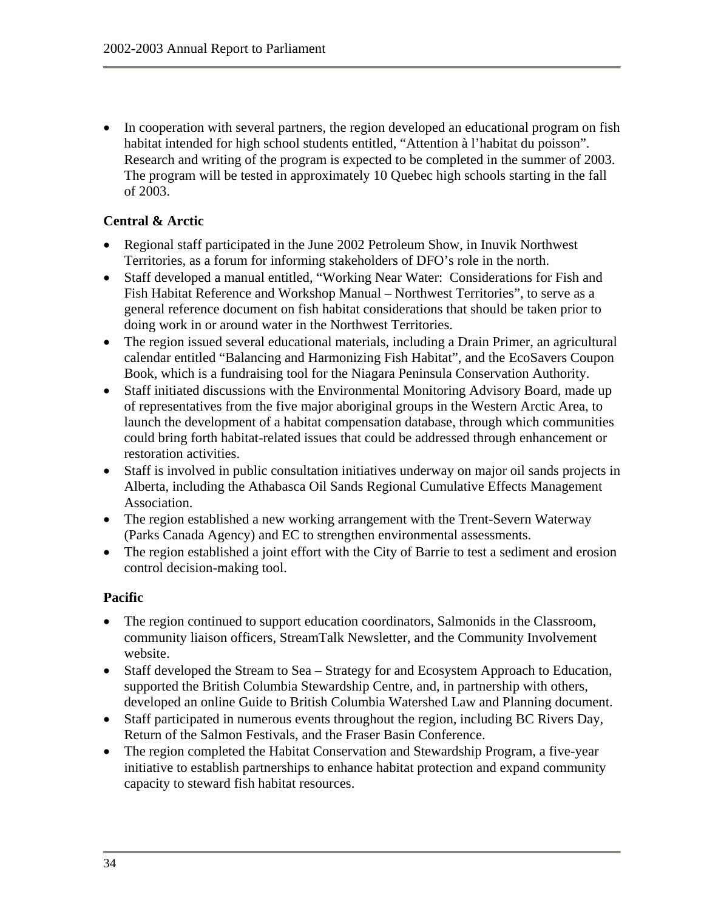• In cooperation with several partners, the region developed an educational program on fish habitat intended for high school students entitled, "Attention à l'habitat du poisson". Research and writing of the program is expected to be completed in the summer of 2003. The program will be tested in approximately 10 Quebec high schools starting in the fall of 2003.

#### **Central & Arctic**

- Regional staff participated in the June 2002 Petroleum Show, in Inuvik Northwest Territories, as a forum for informing stakeholders of DFO's role in the north.
- Staff developed a manual entitled, "Working Near Water: Considerations for Fish and Fish Habitat Reference and Workshop Manual – Northwest Territories", to serve as a general reference document on fish habitat considerations that should be taken prior to doing work in or around water in the Northwest Territories.
- The region issued several educational materials, including a Drain Primer, an agricultural calendar entitled "Balancing and Harmonizing Fish Habitat", and the EcoSavers Coupon Book, which is a fundraising tool for the Niagara Peninsula Conservation Authority.
- Staff initiated discussions with the Environmental Monitoring Advisory Board, made up of representatives from the five major aboriginal groups in the Western Arctic Area, to launch the development of a habitat compensation database, through which communities could bring forth habitat-related issues that could be addressed through enhancement or restoration activities.
- Staff is involved in public consultation initiatives underway on major oil sands projects in Alberta, including the Athabasca Oil Sands Regional Cumulative Effects Management Association.
- The region established a new working arrangement with the Trent-Severn Waterway (Parks Canada Agency) and EC to strengthen environmental assessments.
- The region established a joint effort with the City of Barrie to test a sediment and erosion control decision-making tool.

#### **Pacific**

- The region continued to support education coordinators, Salmonids in the Classroom, community liaison officers, StreamTalk Newsletter, and the Community Involvement website.
- Staff developed the Stream to Sea Strategy for and Ecosystem Approach to Education, supported the British Columbia Stewardship Centre, and, in partnership with others, developed an online Guide to British Columbia Watershed Law and Planning document.
- Staff participated in numerous events throughout the region, including BC Rivers Day, Return of the Salmon Festivals, and the Fraser Basin Conference.
- The region completed the Habitat Conservation and Stewardship Program, a five-year initiative to establish partnerships to enhance habitat protection and expand community capacity to steward fish habitat resources.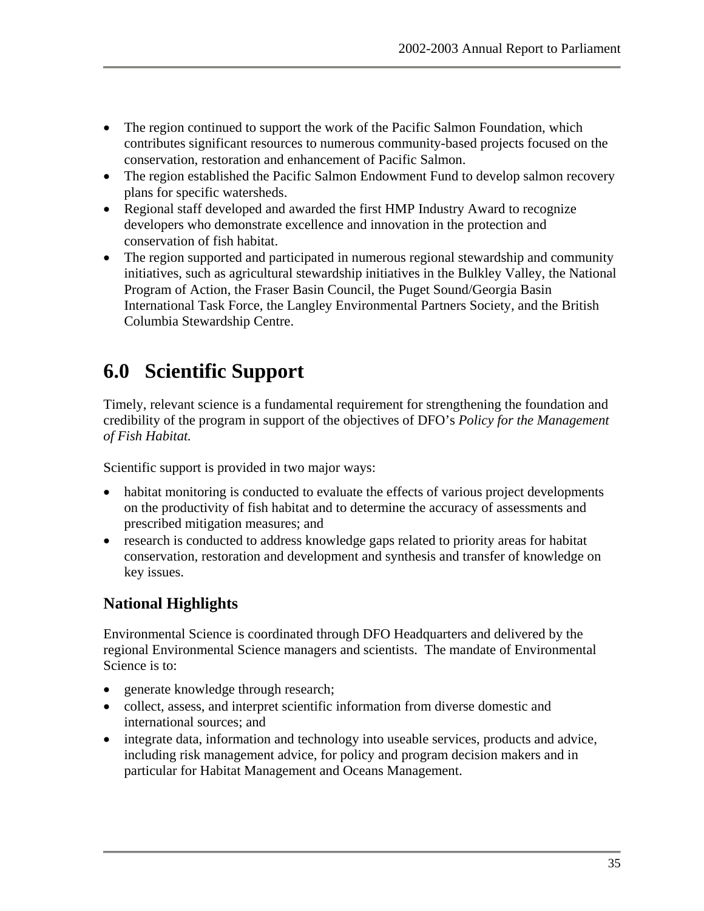- <span id="page-42-0"></span>• The region continued to support the work of the Pacific Salmon Foundation, which contributes significant resources to numerous community-based projects focused on the conservation, restoration and enhancement of Pacific Salmon.
- The region established the Pacific Salmon Endowment Fund to develop salmon recovery plans for specific watersheds.
- Regional staff developed and awarded the first HMP Industry Award to recognize developers who demonstrate excellence and innovation in the protection and conservation of fish habitat.
- The region supported and participated in numerous regional stewardship and community initiatives, such as agricultural stewardship initiatives in the Bulkley Valley, the National Program of Action, the Fraser Basin Council, the Puget Sound/Georgia Basin International Task Force, the Langley Environmental Partners Society, and the British Columbia Stewardship Centre.

# **6.0 Scientific Support**

Timely, relevant science is a fundamental requirement for strengthening the foundation and credibility of the program in support of the objectives of DFO's *Policy for the Management of Fish Habitat.*

Scientific support is provided in two major ways:

- habitat monitoring is conducted to evaluate the effects of various project developments on the productivity of fish habitat and to determine the accuracy of assessments and prescribed mitigation measures; and
- research is conducted to address knowledge gaps related to priority areas for habitat conservation, restoration and development and synthesis and transfer of knowledge on key issues.

## **National Highlights**

Environmental Science is coordinated through DFO Headquarters and delivered by the regional Environmental Science managers and scientists. The mandate of Environmental Science is to:

- generate knowledge through research;
- collect, assess, and interpret scientific information from diverse domestic and international sources; and
- integrate data, information and technology into useable services, products and advice, including risk management advice, for policy and program decision makers and in particular for Habitat Management and Oceans Management.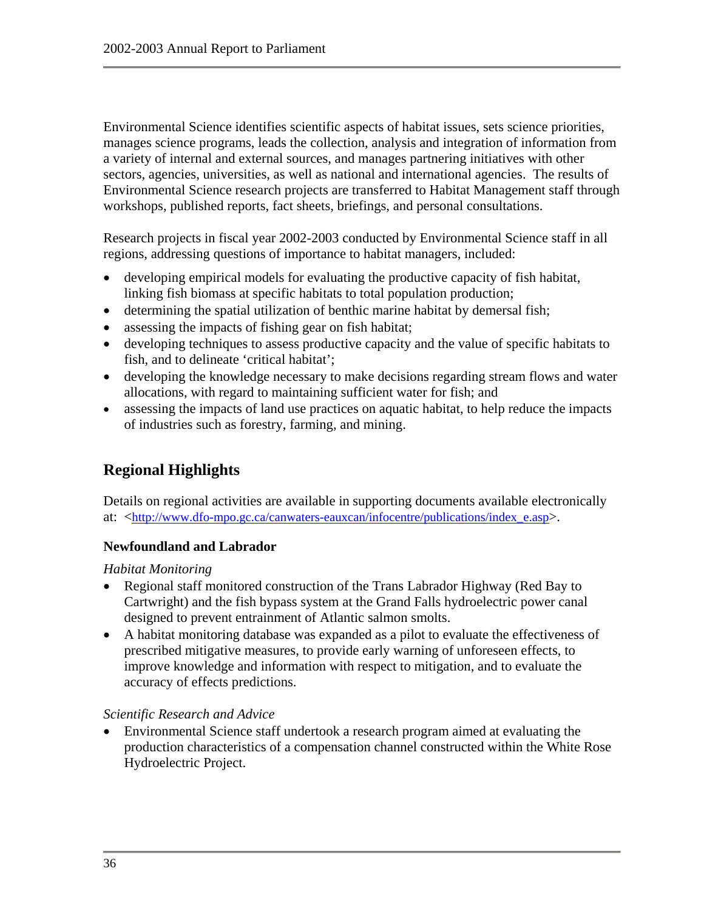Environmental Science identifies scientific aspects of habitat issues, sets science priorities, manages science programs, leads the collection, analysis and integration of information from a variety of internal and external sources, and manages partnering initiatives with other sectors, agencies, universities, as well as national and international agencies. The results of Environmental Science research projects are transferred to Habitat Management staff through workshops, published reports, fact sheets, briefings, and personal consultations.

Research projects in fiscal year 2002-2003 conducted by Environmental Science staff in all regions, addressing questions of importance to habitat managers, included:

- developing empirical models for evaluating the productive capacity of fish habitat, linking fish biomass at specific habitats to total population production;
- determining the spatial utilization of benthic marine habitat by demersal fish;
- assessing the impacts of fishing gear on fish habitat;
- developing techniques to assess productive capacity and the value of specific habitats to fish, and to delineate 'critical habitat';
- developing the knowledge necessary to make decisions regarding stream flows and water allocations, with regard to maintaining sufficient water for fish; and
- assessing the impacts of land use practices on aquatic habitat, to help reduce the impacts of industries such as forestry, farming, and mining.

## **Regional Highlights**

Details on regional activities are available in supporting documents available electronically at: <[http://www.dfo-mpo.gc.ca/canwaters-eauxcan/infocentre/publications/index\\_e.asp>](http://www.dfo-mpo.gc.ca/canwaters-eauxcan/infocentre/publications/index_e.asp).

#### **Newfoundland and Labrador**

#### *Habitat Monitoring*

- Regional staff monitored construction of the Trans Labrador Highway (Red Bay to Cartwright) and the fish bypass system at the Grand Falls hydroelectric power canal designed to prevent entrainment of Atlantic salmon smolts.
- A habitat monitoring database was expanded as a pilot to evaluate the effectiveness of prescribed mitigative measures, to provide early warning of unforeseen effects, to improve knowledge and information with respect to mitigation, and to evaluate the accuracy of effects predictions.

#### *Scientific Research and Advice*

• Environmental Science staff undertook a research program aimed at evaluating the production characteristics of a compensation channel constructed within the White Rose Hydroelectric Project.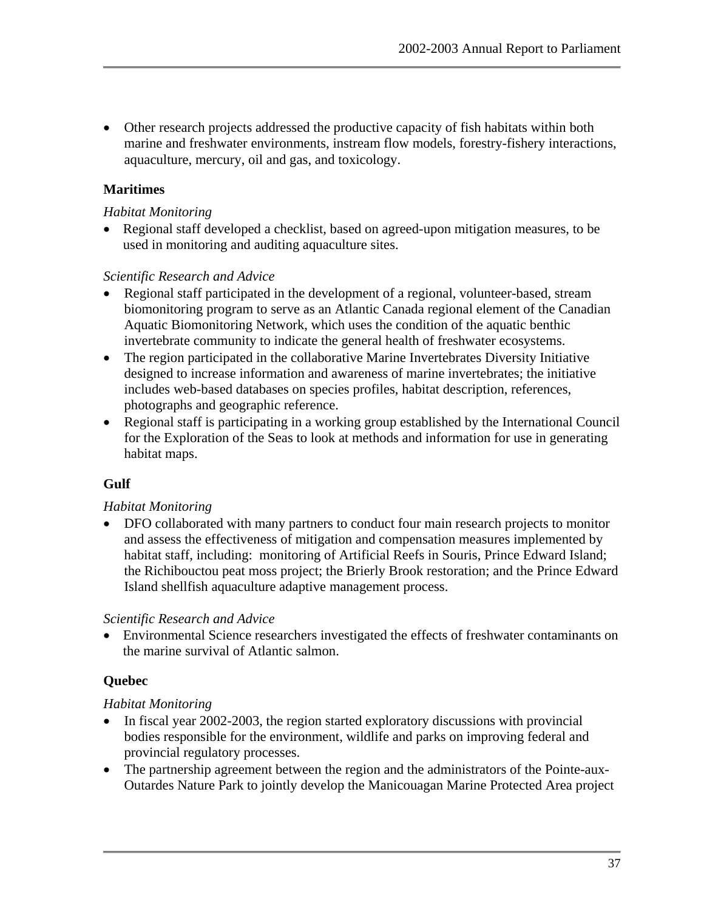• Other research projects addressed the productive capacity of fish habitats within both marine and freshwater environments, instream flow models, forestry-fishery interactions, aquaculture, mercury, oil and gas, and toxicology.

#### **Maritimes**

#### *Habitat Monitoring*

• Regional staff developed a checklist, based on agreed-upon mitigation measures, to be used in monitoring and auditing aquaculture sites.

#### *Scientific Research and Advice*

- Regional staff participated in the development of a regional, volunteer-based, stream biomonitoring program to serve as an Atlantic Canada regional element of the Canadian Aquatic Biomonitoring Network, which uses the condition of the aquatic benthic invertebrate community to indicate the general health of freshwater ecosystems.
- The region participated in the collaborative Marine Invertebrates Diversity Initiative designed to increase information and awareness of marine invertebrates; the initiative includes web-based databases on species profiles, habitat description, references, photographs and geographic reference.
- Regional staff is participating in a working group established by the International Council for the Exploration of the Seas to look at methods and information for use in generating habitat maps.

## **Gulf**

#### *Habitat Monitoring*

• DFO collaborated with many partners to conduct four main research projects to monitor and assess the effectiveness of mitigation and compensation measures implemented by habitat staff, including: monitoring of Artificial Reefs in Souris, Prince Edward Island; the Richibouctou peat moss project; the Brierly Brook restoration; and the Prince Edward Island shellfish aquaculture adaptive management process.

#### *Scientific Research and Advice*

• Environmental Science researchers investigated the effects of freshwater contaminants on the marine survival of Atlantic salmon.

#### **Quebec**

#### *Habitat Monitoring*

- In fiscal year 2002-2003, the region started exploratory discussions with provincial bodies responsible for the environment, wildlife and parks on improving federal and provincial regulatory processes.
- The partnership agreement between the region and the administrators of the Pointe-aux-Outardes Nature Park to jointly develop the Manicouagan Marine Protected Area project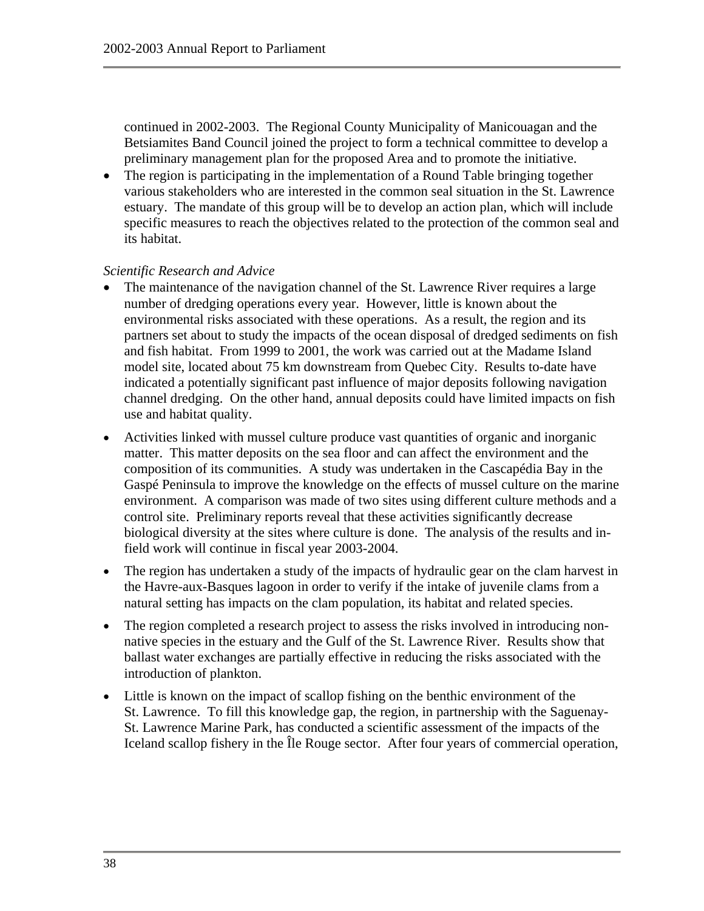continued in 2002-2003. The Regional County Municipality of Manicouagan and the Betsiamites Band Council joined the project to form a technical committee to develop a preliminary management plan for the proposed Area and to promote the initiative.

• The region is participating in the implementation of a Round Table bringing together various stakeholders who are interested in the common seal situation in the St. Lawrence estuary. The mandate of this group will be to develop an action plan, which will include specific measures to reach the objectives related to the protection of the common seal and its habitat.

#### *Scientific Research and Advice*

- The maintenance of the navigation channel of the St. Lawrence River requires a large number of dredging operations every year. However, little is known about the environmental risks associated with these operations. As a result, the region and its partners set about to study the impacts of the ocean disposal of dredged sediments on fish and fish habitat. From 1999 to 2001, the work was carried out at the Madame Island model site, located about 75 km downstream from Quebec City. Results to-date have indicated a potentially significant past influence of major deposits following navigation channel dredging. On the other hand, annual deposits could have limited impacts on fish use and habitat quality.
- Activities linked with mussel culture produce vast quantities of organic and inorganic matter. This matter deposits on the sea floor and can affect the environment and the composition of its communities. A study was undertaken in the Cascapédia Bay in the Gaspé Peninsula to improve the knowledge on the effects of mussel culture on the marine environment. A comparison was made of two sites using different culture methods and a control site. Preliminary reports reveal that these activities significantly decrease biological diversity at the sites where culture is done. The analysis of the results and infield work will continue in fiscal year 2003-2004.
- The region has undertaken a study of the impacts of hydraulic gear on the clam harvest in the Havre-aux-Basques lagoon in order to verify if the intake of juvenile clams from a natural setting has impacts on the clam population, its habitat and related species.
- The region completed a research project to assess the risks involved in introducing nonnative species in the estuary and the Gulf of the St. Lawrence River. Results show that ballast water exchanges are partially effective in reducing the risks associated with the introduction of plankton.
- Little is known on the impact of scallop fishing on the benthic environment of the St. Lawrence. To fill this knowledge gap, the region, in partnership with the Saguenay-St. Lawrence Marine Park, has conducted a scientific assessment of the impacts of the Iceland scallop fishery in the Île Rouge sector. After four years of commercial operation,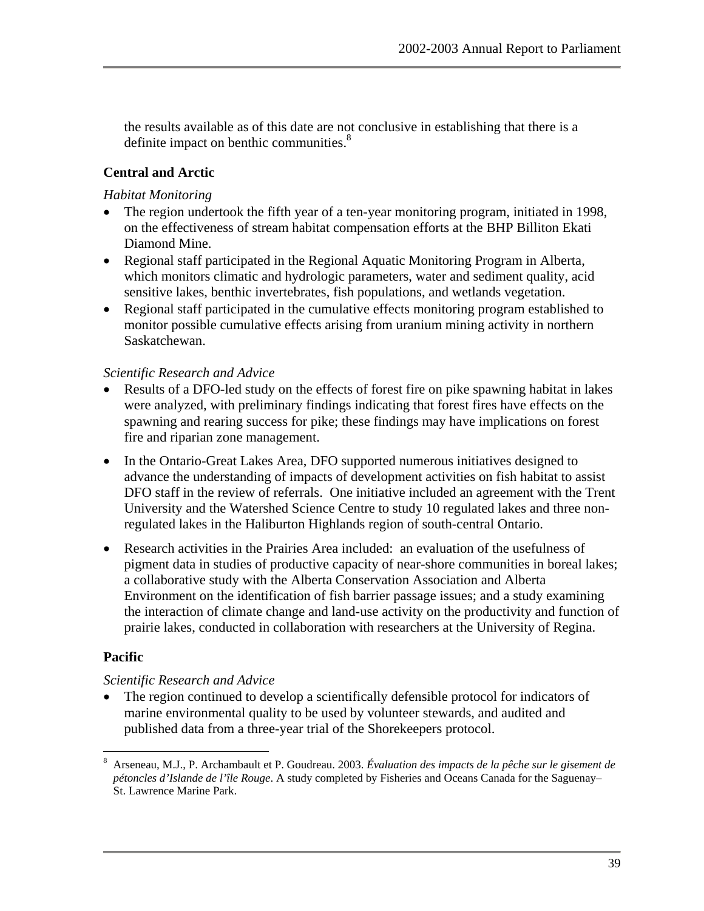the results available as of this date are not conclusive in establishing that there is a definite impact on benthic communities.<sup>[8](#page-46-0)</sup>

#### **Central and Arctic**

#### *Habitat Monitoring*

- The region undertook the fifth year of a ten-year monitoring program, initiated in 1998, on the effectiveness of stream habitat compensation efforts at the BHP Billiton Ekati Diamond Mine.
- Regional staff participated in the Regional Aquatic Monitoring Program in Alberta, which monitors climatic and hydrologic parameters, water and sediment quality, acid sensitive lakes, benthic invertebrates, fish populations, and wetlands vegetation.
- Regional staff participated in the cumulative effects monitoring program established to monitor possible cumulative effects arising from uranium mining activity in northern Saskatchewan.

#### *Scientific Research and Advice*

- Results of a DFO-led study on the effects of forest fire on pike spawning habitat in lakes were analyzed, with preliminary findings indicating that forest fires have effects on the spawning and rearing success for pike; these findings may have implications on forest fire and riparian zone management.
- In the Ontario-Great Lakes Area, DFO supported numerous initiatives designed to advance the understanding of impacts of development activities on fish habitat to assist DFO staff in the review of referrals. One initiative included an agreement with the Trent University and the Watershed Science Centre to study 10 regulated lakes and three nonregulated lakes in the Haliburton Highlands region of south-central Ontario.
- Research activities in the Prairies Area included: an evaluation of the usefulness of pigment data in studies of productive capacity of near-shore communities in boreal lakes; a collaborative study with the Alberta Conservation Association and Alberta Environment on the identification of fish barrier passage issues; and a study examining the interaction of climate change and land-use activity on the productivity and function of prairie lakes, conducted in collaboration with researchers at the University of Regina.

#### **Pacific**

 $\overline{a}$ 

#### *Scientific Research and Advice*

• The region continued to develop a scientifically defensible protocol for indicators of marine environmental quality to be used by volunteer stewards, and audited and published data from a three-year trial of the Shorekeepers protocol.

<span id="page-46-0"></span><sup>8</sup> Arseneau, M.J., P. Archambault et P. Goudreau. 2003. *Évaluation des impacts de la pêche sur le gisement de pétoncles d'Islande de l'île Rouge*. A study completed by Fisheries and Oceans Canada for the Saguenay– St. Lawrence Marine Park.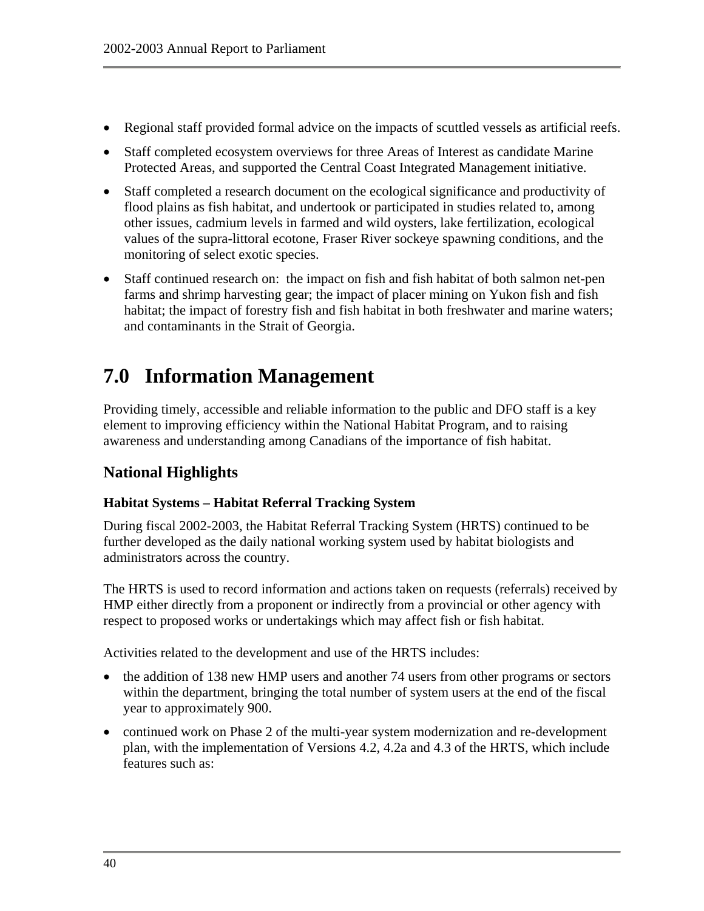- <span id="page-47-0"></span>• Regional staff provided formal advice on the impacts of scuttled vessels as artificial reefs.
- Staff completed ecosystem overviews for three Areas of Interest as candidate Marine Protected Areas, and supported the Central Coast Integrated Management initiative.
- Staff completed a research document on the ecological significance and productivity of flood plains as fish habitat, and undertook or participated in studies related to, among other issues, cadmium levels in farmed and wild oysters, lake fertilization, ecological values of the supra-littoral ecotone, Fraser River sockeye spawning conditions, and the monitoring of select exotic species.
- Staff continued research on: the impact on fish and fish habitat of both salmon net-pen farms and shrimp harvesting gear; the impact of placer mining on Yukon fish and fish habitat; the impact of forestry fish and fish habitat in both freshwater and marine waters; and contaminants in the Strait of Georgia.

# **7.0 Information Management**

Providing timely, accessible and reliable information to the public and DFO staff is a key element to improving efficiency within the National Habitat Program, and to raising awareness and understanding among Canadians of the importance of fish habitat.

## **National Highlights**

#### **Habitat Systems – Habitat Referral Tracking System**

During fiscal 2002-2003, the Habitat Referral Tracking System (HRTS) continued to be further developed as the daily national working system used by habitat biologists and administrators across the country.

The HRTS is used to record information and actions taken on requests (referrals) received by HMP either directly from a proponent or indirectly from a provincial or other agency with respect to proposed works or undertakings which may affect fish or fish habitat.

Activities related to the development and use of the HRTS includes:

- the addition of 138 new HMP users and another 74 users from other programs or sectors within the department, bringing the total number of system users at the end of the fiscal year to approximately 900.
- continued work on Phase 2 of the multi-year system modernization and re-development plan, with the implementation of Versions 4.2, 4.2a and 4.3 of the HRTS, which include features such as: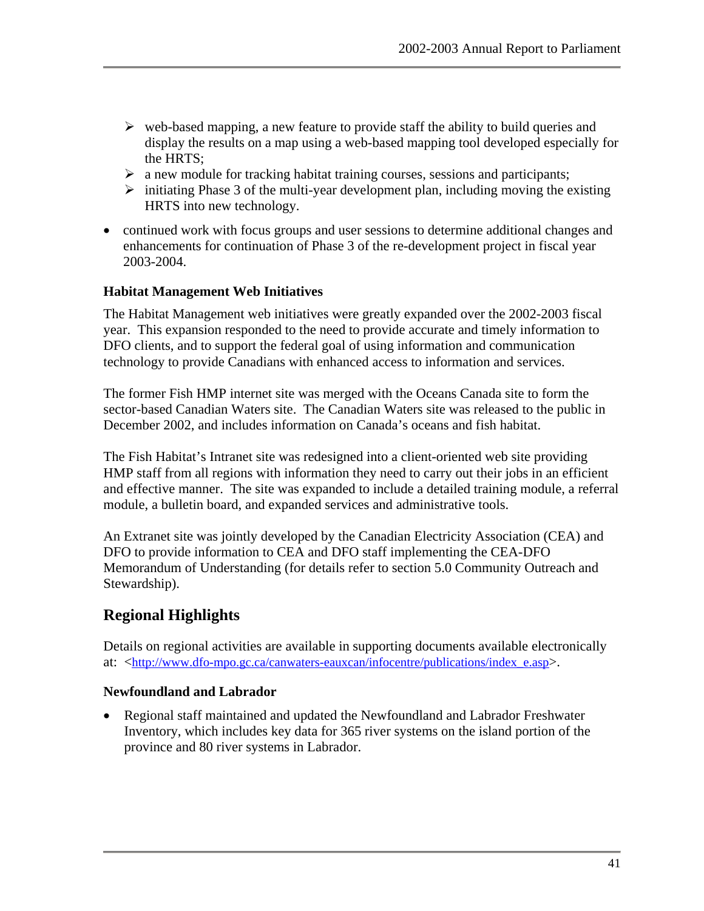- $\triangleright$  web-based mapping, a new feature to provide staff the ability to build queries and display the results on a map using a web-based mapping tool developed especially for the HRTS;
- $\triangleright$  a new module for tracking habitat training courses, sessions and participants;
- $\triangleright$  initiating Phase 3 of the multi-year development plan, including moving the existing HRTS into new technology.
- continued work with focus groups and user sessions to determine additional changes and enhancements for continuation of Phase 3 of the re-development project in fiscal year 2003-2004.

#### **Habitat Management Web Initiatives**

The Habitat Management web initiatives were greatly expanded over the 2002-2003 fiscal year. This expansion responded to the need to provide accurate and timely information to DFO clients, and to support the federal goal of using information and communication technology to provide Canadians with enhanced access to information and services.

The former Fish HMP internet site was merged with the Oceans Canada site to form the sector-based Canadian Waters site. The Canadian Waters site was released to the public in December 2002, and includes information on Canada's oceans and fish habitat.

The Fish Habitat's Intranet site was redesigned into a client-oriented web site providing HMP staff from all regions with information they need to carry out their jobs in an efficient and effective manner. The site was expanded to include a detailed training module, a referral module, a bulletin board, and expanded services and administrative tools.

An Extranet site was jointly developed by the Canadian Electricity Association (CEA) and DFO to provide information to CEA and DFO staff implementing the CEA-DFO Memorandum of Understanding (for details refer to section 5.0 Community Outreach and Stewardship).

## **Regional Highlights**

Details on regional activities are available in supporting documents available electronically at: <[http://www.dfo-mpo.gc.ca/canwaters-eauxcan/infocentre/publications/index\\_e.asp>](http://www.dfo-mpo.gc.ca/canwaters-eauxcan/infocentre/publications/index_e.asp).

#### **Newfoundland and Labrador**

• Regional staff maintained and updated the Newfoundland and Labrador Freshwater Inventory, which includes key data for 365 river systems on the island portion of the province and 80 river systems in Labrador.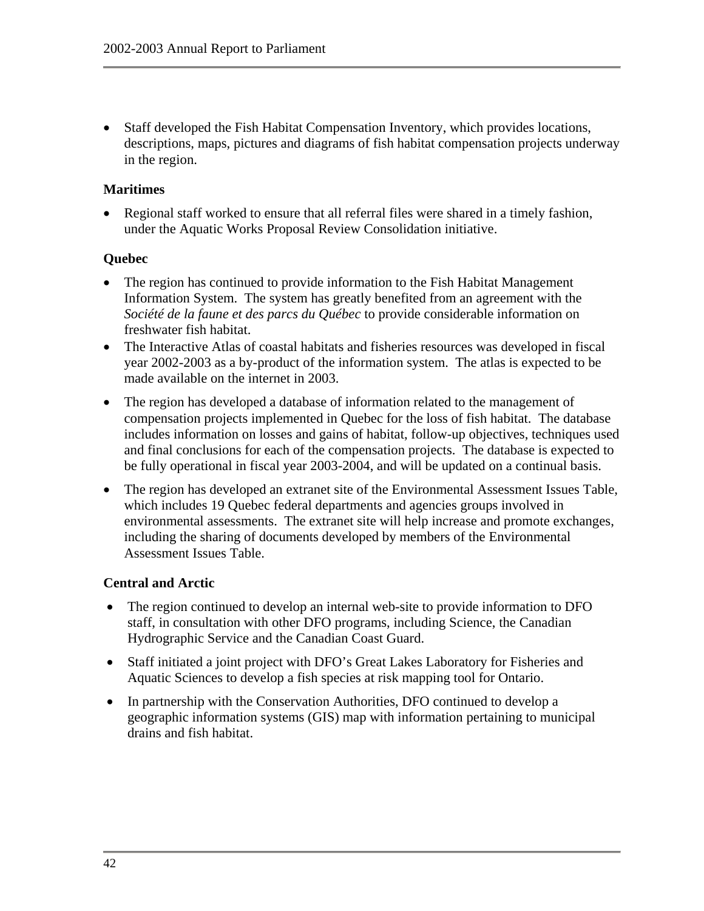• Staff developed the Fish Habitat Compensation Inventory, which provides locations, descriptions, maps, pictures and diagrams of fish habitat compensation projects underway in the region.

#### **Maritimes**

• Regional staff worked to ensure that all referral files were shared in a timely fashion, under the Aquatic Works Proposal Review Consolidation initiative.

#### **Quebec**

- The region has continued to provide information to the Fish Habitat Management Information System. The system has greatly benefited from an agreement with the *Société de la faune et des parcs du Québec* to provide considerable information on freshwater fish habitat.
- The Interactive Atlas of coastal habitats and fisheries resources was developed in fiscal year 2002-2003 as a by-product of the information system. The atlas is expected to be made available on the internet in 2003.
- The region has developed a database of information related to the management of compensation projects implemented in Quebec for the loss of fish habitat. The database includes information on losses and gains of habitat, follow-up objectives, techniques used and final conclusions for each of the compensation projects. The database is expected to be fully operational in fiscal year 2003-2004, and will be updated on a continual basis.
- The region has developed an extranet site of the Environmental Assessment Issues Table, which includes 19 Quebec federal departments and agencies groups involved in environmental assessments. The extranet site will help increase and promote exchanges, including the sharing of documents developed by members of the Environmental Assessment Issues Table.

#### **Central and Arctic**

- The region continued to develop an internal web-site to provide information to DFO staff, in consultation with other DFO programs, including Science, the Canadian Hydrographic Service and the Canadian Coast Guard.
- Staff initiated a joint project with DFO's Great Lakes Laboratory for Fisheries and Aquatic Sciences to develop a fish species at risk mapping tool for Ontario.
- In partnership with the Conservation Authorities, DFO continued to develop a geographic information systems (GIS) map with information pertaining to municipal drains and fish habitat.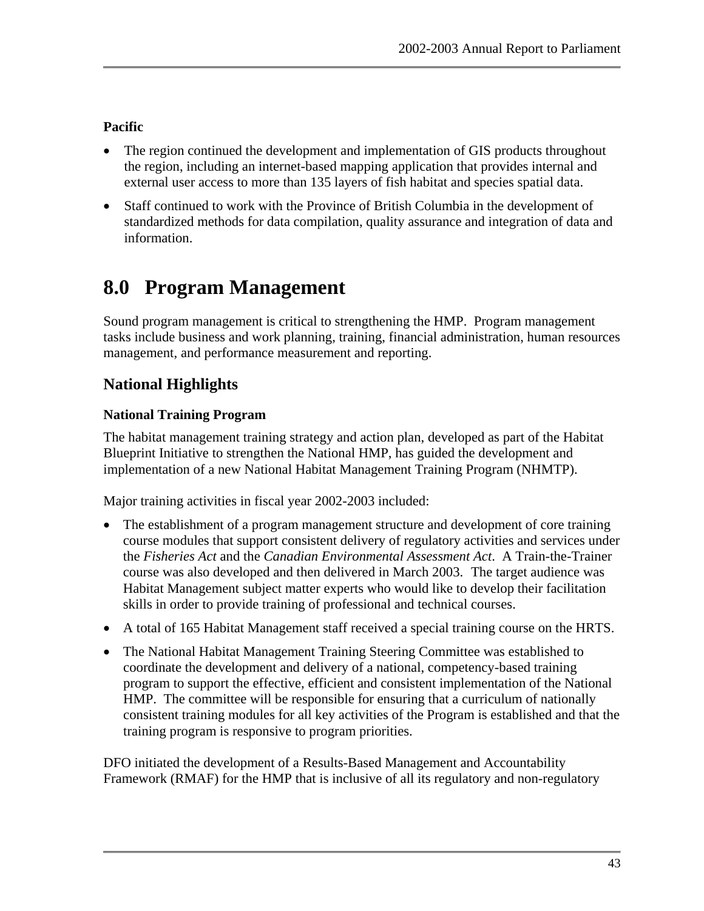## <span id="page-50-0"></span>**Pacific**

- The region continued the development and implementation of GIS products throughout the region, including an internet-based mapping application that provides internal and external user access to more than 135 layers of fish habitat and species spatial data.
- Staff continued to work with the Province of British Columbia in the development of standardized methods for data compilation, quality assurance and integration of data and information.

# **8.0 Program Management**

Sound program management is critical to strengthening the HMP. Program management tasks include business and work planning, training, financial administration, human resources management, and performance measurement and reporting.

## **National Highlights**

## **National Training Program**

The habitat management training strategy and action plan, developed as part of the Habitat Blueprint Initiative to strengthen the National HMP, has guided the development and implementation of a new National Habitat Management Training Program (NHMTP).

Major training activities in fiscal year 2002-2003 included:

- The establishment of a program management structure and development of core training course modules that support consistent delivery of regulatory activities and services under the *Fisheries Act* and the *Canadian Environmental Assessment Act*. A Train-the-Trainer course was also developed and then delivered in March 2003. The target audience was Habitat Management subject matter experts who would like to develop their facilitation skills in order to provide training of professional and technical courses.
- A total of 165 Habitat Management staff received a special training course on the HRTS.
- The National Habitat Management Training Steering Committee was established to coordinate the development and delivery of a national, competency-based training program to support the effective, efficient and consistent implementation of the National HMP. The committee will be responsible for ensuring that a curriculum of nationally consistent training modules for all key activities of the Program is established and that the training program is responsive to program priorities.

DFO initiated the development of a Results-Based Management and Accountability Framework (RMAF) for the HMP that is inclusive of all its regulatory and non-regulatory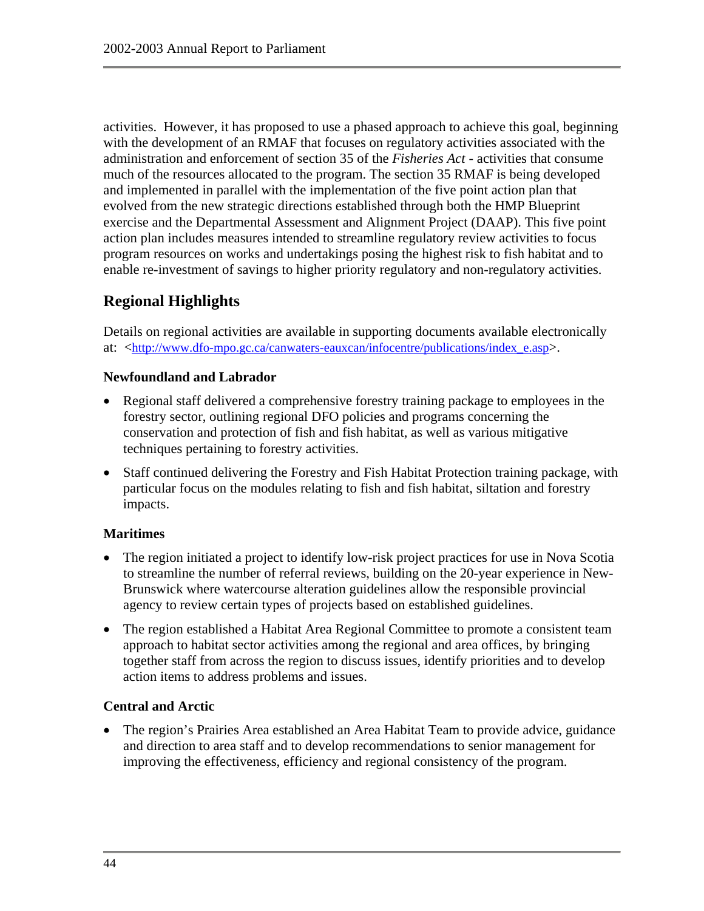activities. However, it has proposed to use a phased approach to achieve this goal, beginning with the development of an RMAF that focuses on regulatory activities associated with the administration and enforcement of section 35 of the *Fisheries Act* - activities that consume much of the resources allocated to the program. The section 35 RMAF is being developed and implemented in parallel with the implementation of the five point action plan that evolved from the new strategic directions established through both the HMP Blueprint exercise and the Departmental Assessment and Alignment Project (DAAP). This five point action plan includes measures intended to streamline regulatory review activities to focus program resources on works and undertakings posing the highest risk to fish habitat and to enable re-investment of savings to higher priority regulatory and non-regulatory activities.

## **Regional Highlights**

Details on regional activities are available in supporting documents available electronically at: <[http://www.dfo-mpo.gc.ca/canwaters-eauxcan/infocentre/publications/index\\_e.asp>](http://www.dfo-mpo.gc.ca/canwaters-eauxcan/infocentre/publications/index_e.asp).

#### **Newfoundland and Labrador**

- Regional staff delivered a comprehensive forestry training package to employees in the forestry sector, outlining regional DFO policies and programs concerning the conservation and protection of fish and fish habitat, as well as various mitigative techniques pertaining to forestry activities.
- Staff continued delivering the Forestry and Fish Habitat Protection training package, with particular focus on the modules relating to fish and fish habitat, siltation and forestry impacts.

#### **Maritimes**

- The region initiated a project to identify low-risk project practices for use in Nova Scotia to streamline the number of referral reviews, building on the 20-year experience in New-Brunswick where watercourse alteration guidelines allow the responsible provincial agency to review certain types of projects based on established guidelines.
- The region established a Habitat Area Regional Committee to promote a consistent team approach to habitat sector activities among the regional and area offices, by bringing together staff from across the region to discuss issues, identify priorities and to develop action items to address problems and issues.

#### **Central and Arctic**

• The region's Prairies Area established an Area Habitat Team to provide advice, guidance and direction to area staff and to develop recommendations to senior management for improving the effectiveness, efficiency and regional consistency of the program.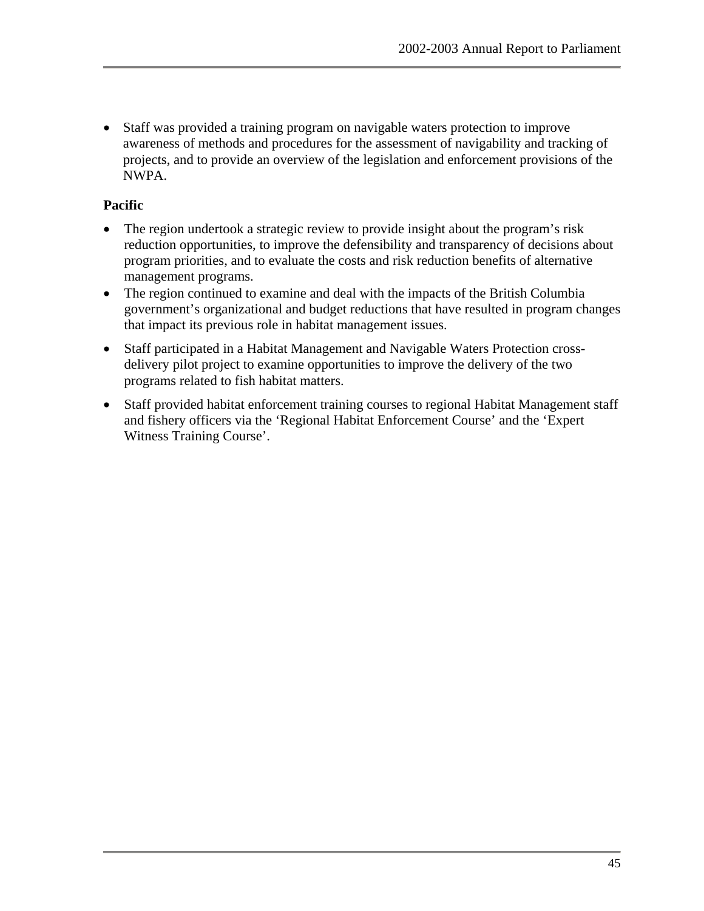• Staff was provided a training program on navigable waters protection to improve awareness of methods and procedures for the assessment of navigability and tracking of projects, and to provide an overview of the legislation and enforcement provisions of the NWPA.

#### **Pacific**

- The region undertook a strategic review to provide insight about the program's risk reduction opportunities, to improve the defensibility and transparency of decisions about program priorities, and to evaluate the costs and risk reduction benefits of alternative management programs.
- The region continued to examine and deal with the impacts of the British Columbia government's organizational and budget reductions that have resulted in program changes that impact its previous role in habitat management issues.
- Staff participated in a Habitat Management and Navigable Waters Protection crossdelivery pilot project to examine opportunities to improve the delivery of the two programs related to fish habitat matters.
- Staff provided habitat enforcement training courses to regional Habitat Management staff and fishery officers via the 'Regional Habitat Enforcement Course' and the 'Expert Witness Training Course'.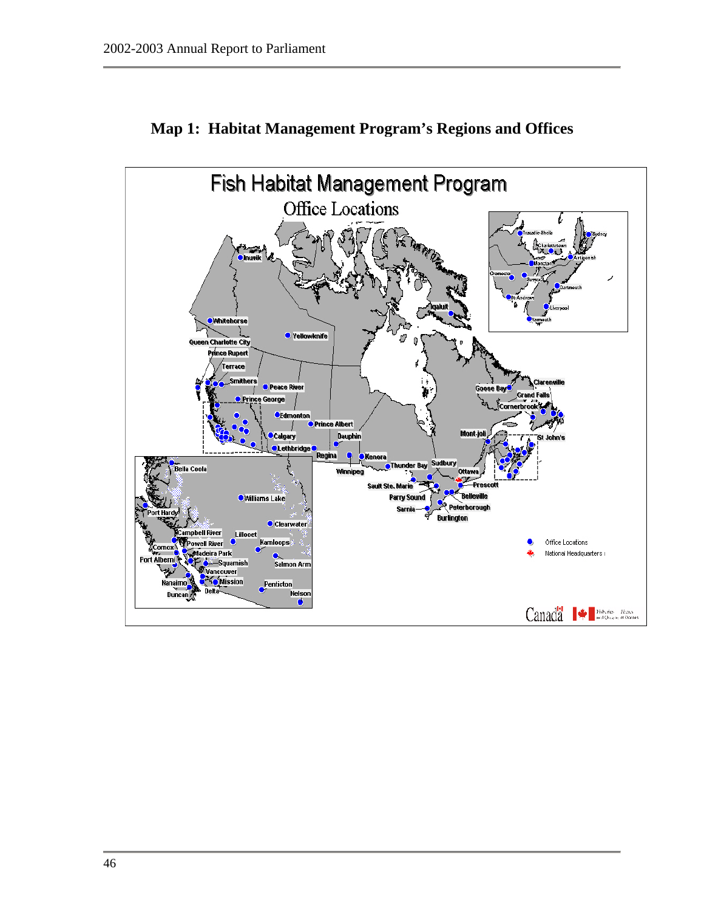<span id="page-53-0"></span>

## **Map 1: Habitat Management Program's Regions and Offices**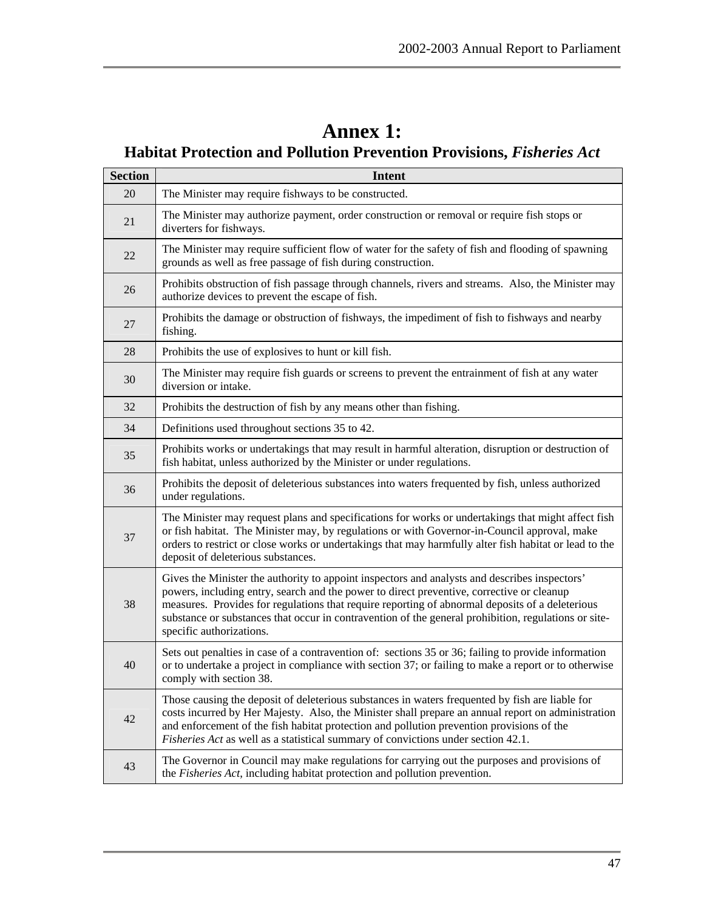# **Annex 1:**

# <span id="page-54-0"></span>**Habitat Protection and Pollution Prevention Provisions,** *Fisheries Act*

| <b>Section</b> | <b>Intent</b>                                                                                                                                                                                                                                                                                                                                                                                                                     |
|----------------|-----------------------------------------------------------------------------------------------------------------------------------------------------------------------------------------------------------------------------------------------------------------------------------------------------------------------------------------------------------------------------------------------------------------------------------|
| 20             | The Minister may require fishways to be constructed.                                                                                                                                                                                                                                                                                                                                                                              |
| 21             | The Minister may authorize payment, order construction or removal or require fish stops or<br>diverters for fishways.                                                                                                                                                                                                                                                                                                             |
| 22             | The Minister may require sufficient flow of water for the safety of fish and flooding of spawning<br>grounds as well as free passage of fish during construction.                                                                                                                                                                                                                                                                 |
| 26             | Prohibits obstruction of fish passage through channels, rivers and streams. Also, the Minister may<br>authorize devices to prevent the escape of fish.                                                                                                                                                                                                                                                                            |
| 27             | Prohibits the damage or obstruction of fishways, the impediment of fish to fishways and nearby<br>fishing.                                                                                                                                                                                                                                                                                                                        |
| 28             | Prohibits the use of explosives to hunt or kill fish.                                                                                                                                                                                                                                                                                                                                                                             |
| 30             | The Minister may require fish guards or screens to prevent the entrainment of fish at any water<br>diversion or intake.                                                                                                                                                                                                                                                                                                           |
| 32             | Prohibits the destruction of fish by any means other than fishing.                                                                                                                                                                                                                                                                                                                                                                |
| 34             | Definitions used throughout sections 35 to 42.                                                                                                                                                                                                                                                                                                                                                                                    |
| 35             | Prohibits works or undertakings that may result in harmful alteration, disruption or destruction of<br>fish habitat, unless authorized by the Minister or under regulations.                                                                                                                                                                                                                                                      |
| 36             | Prohibits the deposit of deleterious substances into waters frequented by fish, unless authorized<br>under regulations.                                                                                                                                                                                                                                                                                                           |
| 37             | The Minister may request plans and specifications for works or undertakings that might affect fish<br>or fish habitat. The Minister may, by regulations or with Governor-in-Council approval, make<br>orders to restrict or close works or undertakings that may harmfully alter fish habitat or lead to the<br>deposit of deleterious substances.                                                                                |
| 38             | Gives the Minister the authority to appoint inspectors and analysts and describes inspectors'<br>powers, including entry, search and the power to direct preventive, corrective or cleanup<br>measures. Provides for regulations that require reporting of abnormal deposits of a deleterious<br>substance or substances that occur in contravention of the general prohibition, regulations or site-<br>specific authorizations. |
| 40             | Sets out penalties in case of a contravention of: sections 35 or 36; failing to provide information<br>or to undertake a project in compliance with section 37; or failing to make a report or to otherwise<br>comply with section 38.                                                                                                                                                                                            |
| 42             | Those causing the deposit of deleterious substances in waters frequented by fish are liable for<br>costs incurred by Her Majesty. Also, the Minister shall prepare an annual report on administration<br>and enforcement of the fish habitat protection and pollution prevention provisions of the<br>Fisheries Act as well as a statistical summary of convictions under section 42.1.                                           |
| 43             | The Governor in Council may make regulations for carrying out the purposes and provisions of<br>the Fisheries Act, including habitat protection and pollution prevention.                                                                                                                                                                                                                                                         |